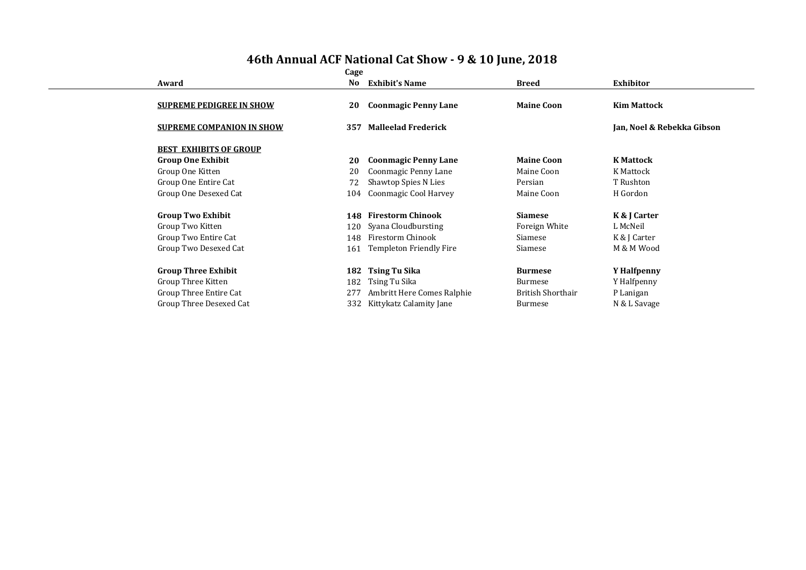|                                  | Cage |                             |                          |                            |
|----------------------------------|------|-----------------------------|--------------------------|----------------------------|
| Award                            | No   | <b>Exhibit's Name</b>       | Breed                    | <b>Exhibitor</b>           |
|                                  |      |                             |                          |                            |
| <b>SUPREME PEDIGREE IN SHOW</b>  | 20   | <b>Coonmagic Penny Lane</b> | <b>Maine Coon</b>        | <b>Kim Mattock</b>         |
| <b>SUPREME COMPANION IN SHOW</b> | 357  | <b>Malleelad Frederick</b>  |                          | Jan, Noel & Rebekka Gibson |
| <b>BEST EXHIBITS OF GROUP</b>    |      |                             |                          |                            |
| <b>Group One Exhibit</b>         | 20   | <b>Coonmagic Penny Lane</b> | <b>Maine Coon</b>        | <b>K</b> Mattock           |
| Group One Kitten                 | 20   | Coonmagic Penny Lane        | Maine Coon               | K Mattock                  |
| Group One Entire Cat             | 72   | Shawtop Spies N Lies        | Persian                  | T Rushton                  |
| Group One Desexed Cat            | 104  | Coonmagic Cool Harvey       | Maine Coon               | H Gordon                   |
| <b>Group Two Exhibit</b>         | 148  | <b>Firestorm Chinook</b>    | <b>Siamese</b>           | K & J Carter               |
| Group Two Kitten                 | 120  | Syana Cloudbursting         | Foreign White            | L McNeil                   |
| Group Two Entire Cat             | 148  | Firestorm Chinook           | Siamese                  | K & J Carter               |
| Group Two Desexed Cat            | 161  | Templeton Friendly Fire     | Siamese                  | M & M Wood                 |
|                                  |      |                             |                          |                            |
| <b>Group Three Exhibit</b>       | 182  | Tsing Tu Sika               | <b>Burmese</b>           | Y Halfpenny                |
| Group Three Kitten               | 182  | Tsing Tu Sika               | <b>Burmese</b>           | Y Halfpenny                |
| Group Three Entire Cat           | 277  | Ambritt Here Comes Ralphie  | <b>British Shorthair</b> | P Lanigan                  |
| Group Three Desexed Cat          | 332  | Kittykatz Calamity Jane     | Burmese                  | N & L Savage               |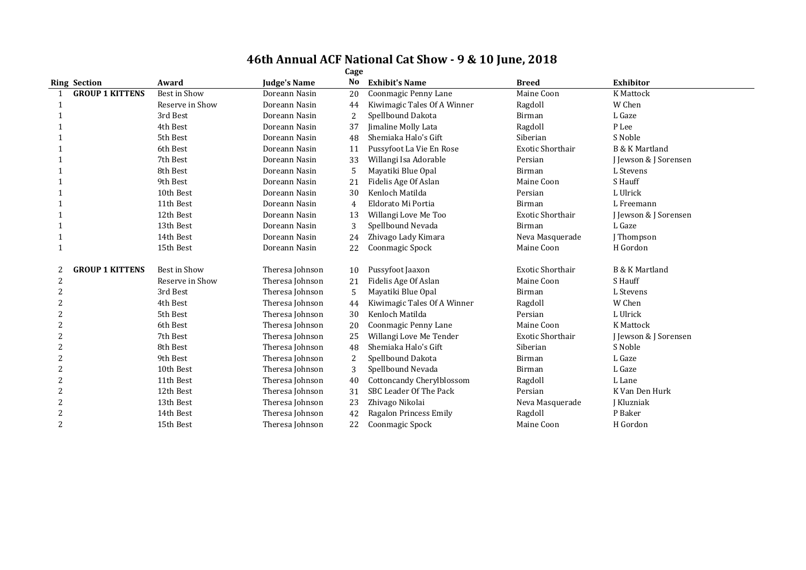| <b>Ring Section</b> |                        | Award           | <b>Judge's Name</b> | No | <b>Exhibit's Name</b>            | <b>Breed</b>            | <b>Exhibitor</b>          |
|---------------------|------------------------|-----------------|---------------------|----|----------------------------------|-------------------------|---------------------------|
|                     | <b>GROUP 1 KITTENS</b> | Best in Show    | Doreann Nasin       | 20 | Coonmagic Penny Lane             | Maine Coon              | <b>K</b> Mattock          |
|                     |                        | Reserve in Show | Doreann Nasin       | 44 | Kiwimagic Tales Of A Winner      | Ragdoll                 | W Chen                    |
|                     |                        | 3rd Best        | Doreann Nasin       | 2  | Spellbound Dakota                | Birman                  | L Gaze                    |
|                     |                        | 4th Best        | Doreann Nasin       | 37 | Jimaline Molly Lata              | Ragdoll                 | P Lee                     |
|                     |                        | 5th Best        | Doreann Nasin       | 48 | Shemiaka Halo's Gift             | Siberian                | S Noble                   |
|                     |                        | 6th Best        | Doreann Nasin       | 11 | Pussyfoot La Vie En Rose         | <b>Exotic Shorthair</b> | <b>B &amp; K Martland</b> |
|                     |                        | 7th Best        | Doreann Nasin       | 33 | Willangi Isa Adorable            | Persian                 | J Jewson & J Sorensen     |
|                     |                        | 8th Best        | Doreann Nasin       | 5  | Mayatiki Blue Opal               | Birman                  | L Stevens                 |
|                     |                        | 9th Best        | Doreann Nasin       | 21 | Fidelis Age Of Aslan             | Maine Coon              | S Hauff                   |
|                     |                        | 10th Best       | Doreann Nasin       | 30 | Kenloch Matilda                  | Persian                 | L Ulrick                  |
|                     |                        | 11th Best       | Doreann Nasin       | 4  | Eldorato Mi Portia               | Birman                  | L Freemann                |
|                     |                        | 12th Best       | Doreann Nasin       | 13 | Willangi Love Me Too             | <b>Exotic Shorthair</b> | J Jewson & J Sorensen     |
|                     |                        | 13th Best       | Doreann Nasin       | 3  | Spellbound Nevada                | Birman                  | L Gaze                    |
|                     |                        | 14th Best       | Doreann Nasin       | 24 | Zhivago Lady Kimara              | Neva Masquerade         | J Thompson                |
|                     |                        | 15th Best       | Doreann Nasin       | 22 | Coonmagic Spock                  | Maine Coon              | H Gordon                  |
| 2                   | <b>GROUP 1 KITTENS</b> | Best in Show    | Theresa Johnson     | 10 | Pussyfoot Jaaxon                 | <b>Exotic Shorthair</b> | B & K Martland            |
| 2                   |                        | Reserve in Show | Theresa Johnson     | 21 | Fidelis Age Of Aslan             | Maine Coon              | S Hauff                   |
| 2                   |                        | 3rd Best        | Theresa Johnson     | 5  | Mayatiki Blue Opal               | Birman                  | L Stevens                 |
| 2                   |                        | 4th Best        | Theresa Johnson     | 44 | Kiwimagic Tales Of A Winner      | Ragdoll                 | W Chen                    |
|                     |                        | 5th Best        | Theresa Johnson     | 30 | Kenloch Matilda                  | Persian                 | L Ulrick                  |
| 2                   |                        | 6th Best        | Theresa Johnson     | 20 | Coonmagic Penny Lane             | Maine Coon              | <b>K</b> Mattock          |
| $\overline{2}$      |                        | 7th Best        | Theresa Johnson     | 25 | Willangi Love Me Tender          | <b>Exotic Shorthair</b> | J Jewson & J Sorensen     |
|                     |                        | 8th Best        | Theresa Johnson     | 48 | Shemiaka Halo's Gift             | Siberian                | S Noble                   |
| $\overline{2}$      |                        | 9th Best        | Theresa Johnson     | 2  | Spellbound Dakota                | Birman                  | L Gaze                    |
| 2                   |                        | 10th Best       | Theresa Johnson     | 3  | Spellbound Nevada                | Birman                  | L Gaze                    |
| $\overline{2}$      |                        | 11th Best       | Theresa Johnson     | 40 | <b>Cottoncandy Cherylblossom</b> | Ragdoll                 | L Lane                    |
| $\overline{c}$      |                        | 12th Best       | Theresa Johnson     | 31 | SBC Leader Of The Pack           | Persian                 | K Van Den Hurk            |
| $\overline{c}$      |                        | 13th Best       | Theresa Johnson     | 23 | Zhivago Nikolai                  | Neva Masquerade         | J Kluzniak                |
| $\overline{2}$      |                        | 14th Best       | Theresa Johnson     | 42 | Ragalon Princess Emily           | Ragdoll                 | P Baker                   |
| $\overline{c}$      |                        | 15th Best       | Theresa Johnson     | 22 | Coonmagic Spock                  | Maine Coon              | H Gordon                  |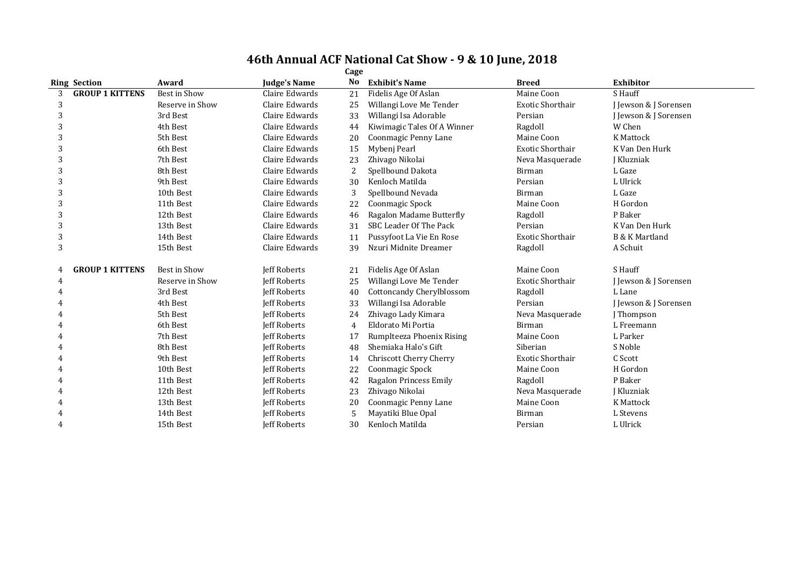|                             | Cage            |                     |                |                                |                         |                           |  |  |  |  |
|-----------------------------|-----------------|---------------------|----------------|--------------------------------|-------------------------|---------------------------|--|--|--|--|
| <b>Ring Section</b>         | Award           | <b>Judge's Name</b> | No             | <b>Exhibit's Name</b>          | <b>Breed</b>            | <b>Exhibitor</b>          |  |  |  |  |
| <b>GROUP 1 KITTENS</b><br>3 | Best in Show    | Claire Edwards      | 21             | Fidelis Age Of Aslan           | Maine Coon              | S Hauff                   |  |  |  |  |
| 3                           | Reserve in Show | Claire Edwards      | 25             | Willangi Love Me Tender        | <b>Exotic Shorthair</b> | J Jewson & J Sorensen     |  |  |  |  |
| 3                           | 3rd Best        | Claire Edwards      | 33             | Willangi Isa Adorable          | Persian                 | J Jewson & J Sorensen     |  |  |  |  |
| 3                           | 4th Best        | Claire Edwards      | 44             | Kiwimagic Tales Of A Winner    | Ragdoll                 | W Chen                    |  |  |  |  |
| 3                           | 5th Best        | Claire Edwards      | 20             | Coonmagic Penny Lane           | Maine Coon              | <b>K</b> Mattock          |  |  |  |  |
| 3                           | 6th Best        | Claire Edwards      | 15             | Mybeni Pearl                   | <b>Exotic Shorthair</b> | K Van Den Hurk            |  |  |  |  |
| 3                           | 7th Best        | Claire Edwards      | 23             | Zhivago Nikolai                | Neva Masquerade         | <b>Kluzniak</b>           |  |  |  |  |
| 3                           | 8th Best        | Claire Edwards      | 2              | Spellbound Dakota              | Birman                  | L Gaze                    |  |  |  |  |
| 3                           | 9th Best        | Claire Edwards      | 30             | Kenloch Matilda                | Persian                 | L Ulrick                  |  |  |  |  |
| 3                           | 10th Best       | Claire Edwards      | 3              | Spellbound Nevada              | Birman                  | L Gaze                    |  |  |  |  |
| 3                           | 11th Best       | Claire Edwards      | 22             | Coonmagic Spock                | Maine Coon              | H Gordon                  |  |  |  |  |
| 3                           | 12th Best       | Claire Edwards      | 46             | Ragalon Madame Butterfly       | Ragdoll                 | P Baker                   |  |  |  |  |
| 3                           | 13th Best       | Claire Edwards      | 31             | SBC Leader Of The Pack         | Persian                 | K Van Den Hurk            |  |  |  |  |
| 3                           | 14th Best       | Claire Edwards      | 11             | Pussyfoot La Vie En Rose       | <b>Exotic Shorthair</b> | <b>B &amp; K Martland</b> |  |  |  |  |
| 3                           | 15th Best       | Claire Edwards      | 39             | Nzuri Midnite Dreamer          | Ragdoll                 | A Schuit                  |  |  |  |  |
| <b>GROUP 1 KITTENS</b><br>4 | Best in Show    | Jeff Roberts        | 21             | Fidelis Age Of Aslan           | Maine Coon              | S Hauff                   |  |  |  |  |
| 4                           | Reserve in Show | <b>Jeff Roberts</b> | 25             | Willangi Love Me Tender        | Exotic Shorthair        | J Jewson & J Sorensen     |  |  |  |  |
|                             | 3rd Best        | <b>Jeff Roberts</b> | 40             | Cottoncandy Cherylblossom      | Ragdoll                 | L Lane                    |  |  |  |  |
|                             | 4th Best        | Jeff Roberts        | 33             | Willangi Isa Adorable          | Persian                 | J Jewson & J Sorensen     |  |  |  |  |
|                             | 5th Best        | Jeff Roberts        | 24             | Zhivago Lady Kimara            | Neva Masquerade         | J Thompson                |  |  |  |  |
|                             | 6th Best        | <b>Jeff Roberts</b> | $\overline{4}$ | Eldorato Mi Portia             | Birman                  | L Freemann                |  |  |  |  |
|                             | 7th Best        | <b>Jeff Roberts</b> | 17             | Rumplteeza Phoenix Rising      | Maine Coon              | L Parker                  |  |  |  |  |
|                             | 8th Best        | <b>Jeff Roberts</b> | 48             | Shemiaka Halo's Gift           | Siberian                | S Noble                   |  |  |  |  |
|                             | 9th Best        | <b>Jeff Roberts</b> | 14             | <b>Chriscott Cherry Cherry</b> | <b>Exotic Shorthair</b> | C Scott                   |  |  |  |  |
|                             | 10th Best       | <b>Jeff Roberts</b> | 22             | Coonmagic Spock                | Maine Coon              | H Gordon                  |  |  |  |  |
|                             | 11th Best       | <b>Jeff Roberts</b> | 42             | Ragalon Princess Emily         | Ragdoll                 | P Baker                   |  |  |  |  |
|                             | 12th Best       | <b>Jeff Roberts</b> | 23             | Zhivago Nikolai                | Neva Masquerade         | J Kluzniak                |  |  |  |  |
| 4                           | 13th Best       | <b>Jeff Roberts</b> | 20             | Coonmagic Penny Lane           | Maine Coon              | K Mattock                 |  |  |  |  |
| 4                           | 14th Best       | <b>Jeff Roberts</b> | 5              | Mayatiki Blue Opal             | <b>Birman</b>           | L Stevens                 |  |  |  |  |
|                             | 15th Best       | <b>Jeff Roberts</b> | 30             | Kenloch Matilda                | Persian                 | L Ulrick                  |  |  |  |  |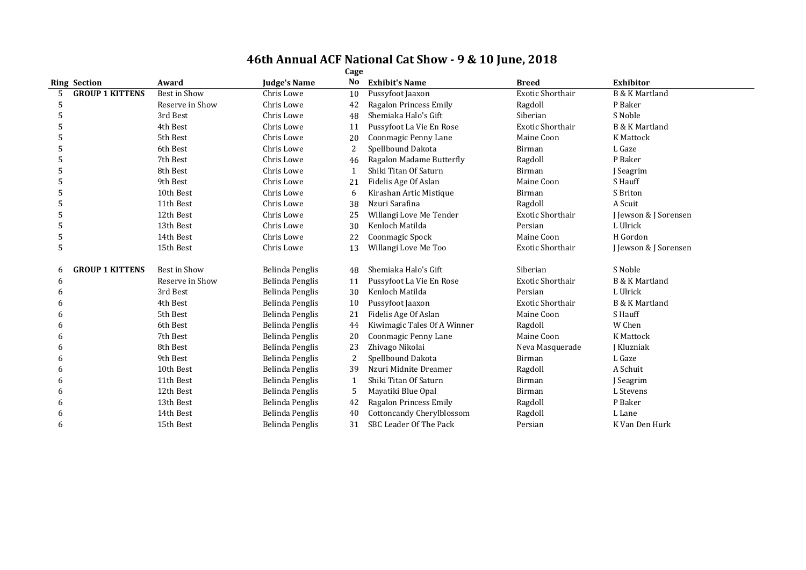|    | Cage                   |                 |                 |                |                                  |                         |                           |  |  |  |
|----|------------------------|-----------------|-----------------|----------------|----------------------------------|-------------------------|---------------------------|--|--|--|
|    | <b>Ring Section</b>    | Award           | Judge's Name    | No             | <b>Exhibit's Name</b>            | <b>Breed</b>            | <b>Exhibitor</b>          |  |  |  |
| 5. | <b>GROUP 1 KITTENS</b> | Best in Show    | Chris Lowe      | 10             | Pussyfoot Jaaxon                 | <b>Exotic Shorthair</b> | <b>B &amp; K Martland</b> |  |  |  |
| 5  |                        | Reserve in Show | Chris Lowe      | 42             | Ragalon Princess Emily           | Ragdoll                 | P Baker                   |  |  |  |
| 5  |                        | 3rd Best        | Chris Lowe      | 48             | Shemiaka Halo's Gift             | Siberian                | S Noble                   |  |  |  |
| 5  |                        | 4th Best        | Chris Lowe      | 11             | Pussyfoot La Vie En Rose         | Exotic Shorthair        | <b>B &amp; K Martland</b> |  |  |  |
| 5  |                        | 5th Best        | Chris Lowe      | 20             | Coonmagic Penny Lane             | Maine Coon              | K Mattock                 |  |  |  |
| 5  |                        | 6th Best        | Chris Lowe      | $\overline{2}$ | Spellbound Dakota                | Birman                  | L Gaze                    |  |  |  |
| 5  |                        | 7th Best        | Chris Lowe      | 46             | Ragalon Madame Butterfly         | Ragdoll                 | P Baker                   |  |  |  |
| 5  |                        | 8th Best        | Chris Lowe      | $\mathbf 1$    | Shiki Titan Of Saturn            | <b>Birman</b>           | J Seagrim                 |  |  |  |
| 5  |                        | 9th Best        | Chris Lowe      | 21             | Fidelis Age Of Aslan             | Maine Coon              | S Hauff                   |  |  |  |
| 5  |                        | 10th Best       | Chris Lowe      | 6              | Kirashan Artic Mistique          | Birman                  | S Briton                  |  |  |  |
| 5  |                        | 11th Best       | Chris Lowe      | 38             | Nzuri Sarafina                   | Ragdoll                 | A Scuit                   |  |  |  |
| 5  |                        | 12th Best       | Chris Lowe      | 25             | Willangi Love Me Tender          | Exotic Shorthair        | J Jewson & J Sorensen     |  |  |  |
| 5  |                        | 13th Best       | Chris Lowe      | 30             | Kenloch Matilda                  | Persian                 | L Ulrick                  |  |  |  |
| 5  |                        | 14th Best       | Chris Lowe      | 22             | Coonmagic Spock                  | Maine Coon              | H Gordon                  |  |  |  |
| 5  |                        | 15th Best       | Chris Lowe      | 13             | Willangi Love Me Too             | <b>Exotic Shorthair</b> | J Jewson & J Sorensen     |  |  |  |
| 6  | <b>GROUP 1 KITTENS</b> | Best in Show    | Belinda Penglis | 48             | Shemiaka Halo's Gift             | Siberian                | S Noble                   |  |  |  |
| 6  |                        | Reserve in Show | Belinda Penglis | 11             | Pussyfoot La Vie En Rose         | Exotic Shorthair        | <b>B &amp; K Martland</b> |  |  |  |
| 6  |                        | 3rd Best        | Belinda Penglis | 30             | Kenloch Matilda                  | Persian                 | L Ulrick                  |  |  |  |
| 6  |                        | 4th Best        | Belinda Penglis | 10             | Pussyfoot Jaaxon                 | <b>Exotic Shorthair</b> | <b>B &amp; K Martland</b> |  |  |  |
| 6  |                        | 5th Best        | Belinda Penglis | 21             | Fidelis Age Of Aslan             | Maine Coon              | S Hauff                   |  |  |  |
| 6  |                        | 6th Best        | Belinda Penglis | 44             | Kiwimagic Tales Of A Winner      | Ragdoll                 | W Chen                    |  |  |  |
| 6  |                        | 7th Best        | Belinda Penglis | 20             | Coonmagic Penny Lane             | Maine Coon              | K Mattock                 |  |  |  |
| 6  |                        | 8th Best        | Belinda Penglis | 23             | Zhivago Nikolai                  | Neva Masquerade         | J Kluzniak                |  |  |  |
| 6  |                        | 9th Best        | Belinda Penglis | $\overline{c}$ | Spellbound Dakota                | <b>Birman</b>           | L Gaze                    |  |  |  |
| 6  |                        | 10th Best       | Belinda Penglis | 39             | Nzuri Midnite Dreamer            | Ragdoll                 | A Schuit                  |  |  |  |
| 6  |                        | 11th Best       | Belinda Penglis | $\mathbf{1}$   | Shiki Titan Of Saturn            | Birman                  | J Seagrim                 |  |  |  |
| 6  |                        | 12th Best       | Belinda Penglis | 5              | Mayatiki Blue Opal               | Birman                  | L Stevens                 |  |  |  |
| 6  |                        | 13th Best       | Belinda Penglis | 42             | Ragalon Princess Emily           | Ragdoll                 | P Baker                   |  |  |  |
| 6  |                        | 14th Best       | Belinda Penglis | 40             | <b>Cottoncandy Cherylblossom</b> | Ragdoll                 | L Lane                    |  |  |  |
| 6  |                        | 15th Best       | Belinda Penglis | 31             | SBC Leader Of The Pack           | Persian                 | K Van Den Hurk            |  |  |  |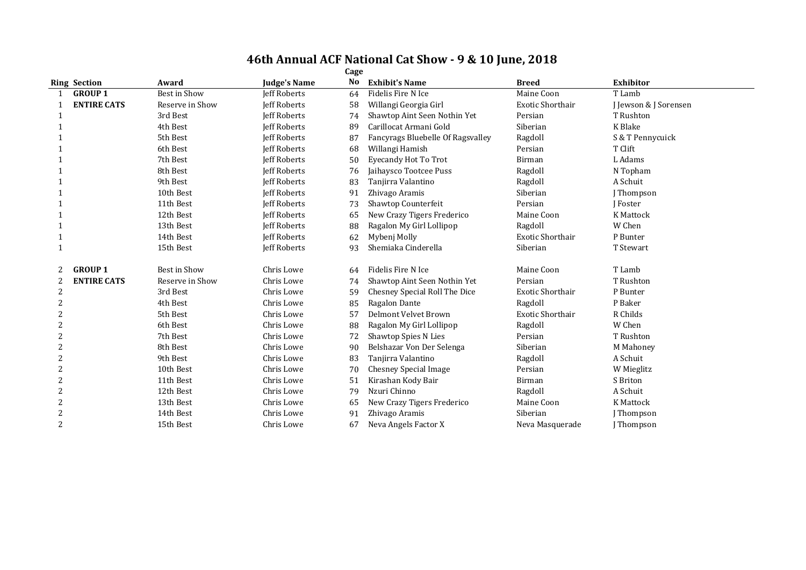|                | <b>Ring Section</b> | Award               | <b>Judge's Name</b> | No | <b>Exhibit's Name</b>             | <b>Breed</b>            | <b>Exhibitor</b>      |
|----------------|---------------------|---------------------|---------------------|----|-----------------------------------|-------------------------|-----------------------|
|                | <b>GROUP 1</b>      | <b>Best in Show</b> | <b>Jeff Roberts</b> | 64 | Fidelis Fire N Ice                | Maine Coon              | T Lamb                |
|                | <b>ENTIRE CATS</b>  | Reserve in Show     | <b>Jeff Roberts</b> | 58 | Willangi Georgia Girl             | <b>Exotic Shorthair</b> | J Jewson & J Sorensen |
|                |                     | 3rd Best            | <b>Jeff Roberts</b> | 74 | Shawtop Aint Seen Nothin Yet      | Persian                 | T Rushton             |
|                |                     | 4th Best            | <b>Jeff Roberts</b> | 89 | Carillocat Armani Gold            | Siberian                | K Blake               |
|                |                     | 5th Best            | Jeff Roberts        | 87 | Fancyrags Bluebelle Of Ragsvalley | Ragdoll                 | S & T Pennycuick      |
|                |                     | 6th Best            | <b>Jeff Roberts</b> | 68 | Willangi Hamish                   | Persian                 | T Clift               |
|                |                     | 7th Best            | Jeff Roberts        | 50 | <b>Eyecandy Hot To Trot</b>       | Birman                  | L Adams               |
|                |                     | 8th Best            | <b>Jeff Roberts</b> | 76 | Jaihaysco Tootcee Puss            | Ragdoll                 | N Topham              |
|                |                     | 9th Best            | <b>Jeff Roberts</b> | 83 | Tanjirra Valantino                | Ragdoll                 | A Schuit              |
|                |                     | 10th Best           | <b>Jeff Roberts</b> | 91 | Zhivago Aramis                    | Siberian                | J Thompson            |
|                |                     | 11th Best           | <b>Jeff Roberts</b> | 73 | Shawtop Counterfeit               | Persian                 | I Foster              |
|                |                     | 12th Best           | <b>Jeff Roberts</b> | 65 | New Crazy Tigers Frederico        | Maine Coon              | K Mattock             |
|                |                     | 13th Best           | <b>Jeff Roberts</b> | 88 | Ragalon My Girl Lollipop          | Ragdoll                 | W Chen                |
|                |                     | 14th Best           | Jeff Roberts        | 62 | Mybenj Molly                      | <b>Exotic Shorthair</b> | P Bunter              |
|                |                     | 15th Best           | <b>Jeff Roberts</b> | 93 | Shemiaka Cinderella               | Siberian                | T Stewart             |
|                | <b>GROUP 1</b>      | Best in Show        | Chris Lowe          | 64 | Fidelis Fire N Ice                | Maine Coon              | T Lamb                |
|                | <b>ENTIRE CATS</b>  | Reserve in Show     | Chris Lowe          | 74 | Shawtop Aint Seen Nothin Yet      | Persian                 | T Rushton             |
| $\overline{2}$ |                     | 3rd Best            | Chris Lowe          | 59 | Chesney Special Roll The Dice     | <b>Exotic Shorthair</b> | P Bunter              |
| $\overline{2}$ |                     | 4th Best            | Chris Lowe          | 85 | Ragalon Dante                     | Ragdoll                 | P Baker               |
|                |                     | 5th Best            | Chris Lowe          | 57 | Delmont Velvet Brown              | <b>Exotic Shorthair</b> | R Childs              |
| 2              |                     | 6th Best            | Chris Lowe          | 88 | Ragalon My Girl Lollipop          | Ragdoll                 | W Chen                |
| 2              |                     | 7th Best            | Chris Lowe          | 72 | Shawtop Spies N Lies              | Persian                 | T Rushton             |
| $\overline{c}$ |                     | 8th Best            | Chris Lowe          | 90 | Belshazar Von Der Selenga         | Siberian                | M Mahoney             |
| 2              |                     | 9th Best            | Chris Lowe          | 83 | Tanjirra Valantino                | Ragdoll                 | A Schuit              |
| 2              |                     | 10th Best           | Chris Lowe          | 70 | <b>Chesney Special Image</b>      | Persian                 | W Mieglitz            |
| 2              |                     | 11th Best           | Chris Lowe          | 51 | Kirashan Kody Bair                | Birman                  | S Briton              |
| 2              |                     | 12th Best           | Chris Lowe          | 79 | Nzuri Chinno                      | Ragdoll                 | A Schuit              |
| 2              |                     | 13th Best           | Chris Lowe          | 65 | New Crazy Tigers Frederico        | Maine Coon              | K Mattock             |
| $\overline{2}$ |                     | 14th Best           | Chris Lowe          | 91 | Zhivago Aramis                    | Siberian                | J Thompson            |
| 2              |                     | 15th Best           | Chris Lowe          | 67 | Neva Angels Factor X              | Neva Masquerade         | [Thompson             |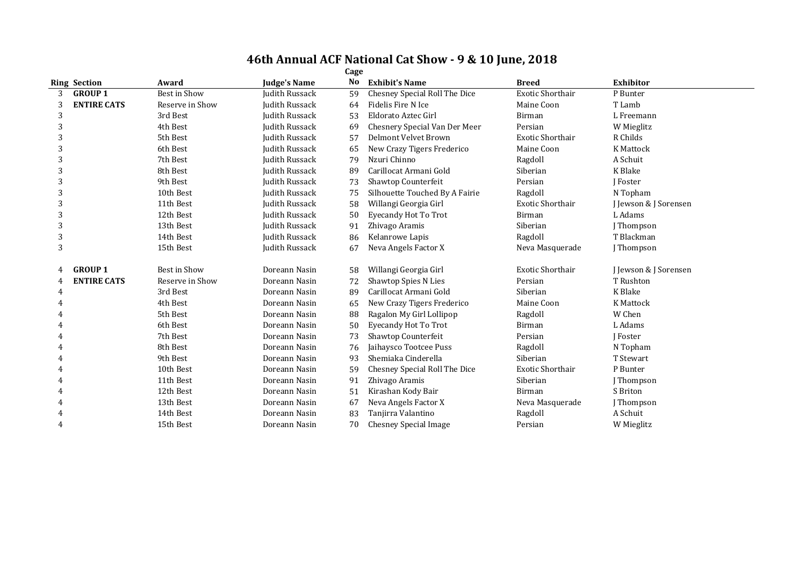|   | <b>Ring Section</b> | Award           | <b>Judge's Name</b>   | No | <b>Exhibit's Name</b>          | <b>Breed</b>            | <b>Exhibitor</b>      |
|---|---------------------|-----------------|-----------------------|----|--------------------------------|-------------------------|-----------------------|
| 3 | <b>GROUP 1</b>      | Best in Show    | Judith Russack        | 59 | Chesney Special Roll The Dice  | Exotic Shorthair        | P Bunter              |
| 3 | <b>ENTIRE CATS</b>  | Reserve in Show | Judith Russack        | 64 | Fidelis Fire N Ice             | Maine Coon              | T Lamb                |
| 3 |                     | 3rd Best        | Judith Russack        | 53 | Eldorato Aztec Girl            | Birman                  | L Freemann            |
| 3 |                     | 4th Best        | Judith Russack        | 69 | Chesnery Special Van Der Meer  | Persian                 | W Mieglitz            |
| 3 |                     | 5th Best        | Judith Russack        | 57 | Delmont Velvet Brown           | <b>Exotic Shorthair</b> | R Childs              |
| 3 |                     | 6th Best        | <b>Judith Russack</b> | 65 | New Crazy Tigers Frederico     | Maine Coon              | <b>K</b> Mattock      |
| 3 |                     | 7th Best        | Judith Russack        | 79 | Nzuri Chinno                   | Ragdoll                 | A Schuit              |
| 3 |                     | 8th Best        | Judith Russack        | 89 | Carillocat Armani Gold         | Siberian                | K Blake               |
| 3 |                     | 9th Best        | Judith Russack        | 73 | Shawtop Counterfeit            | Persian                 | <b>I</b> Foster       |
| 3 |                     | 10th Best       | Judith Russack        | 75 | Silhouette Touched By A Fairie | Ragdoll                 | N Topham              |
| 3 |                     | 11th Best       | Judith Russack        | 58 | Willangi Georgia Girl          | <b>Exotic Shorthair</b> | J Jewson & J Sorensen |
| 3 |                     | 12th Best       | Judith Russack        | 50 | <b>Eyecandy Hot To Trot</b>    | Birman                  | L Adams               |
| 3 |                     | 13th Best       | Judith Russack        | 91 | Zhivago Aramis                 | Siberian                | J Thompson            |
| 3 |                     | 14th Best       | Judith Russack        | 86 | Kelanrowe Lapis                | Ragdoll                 | T Blackman            |
| 3 |                     | 15th Best       | Judith Russack        | 67 | Neva Angels Factor X           | Neva Masquerade         | J Thompson            |
|   | <b>GROUP 1</b>      | Best in Show    | Doreann Nasin         | 58 | Willangi Georgia Girl          | <b>Exotic Shorthair</b> | J Jewson & J Sorensen |
|   | <b>ENTIRE CATS</b>  | Reserve in Show | Doreann Nasin         | 72 | Shawtop Spies N Lies           | Persian                 | T Rushton             |
| 4 |                     | 3rd Best        | Doreann Nasin         | 89 | Carillocat Armani Gold         | Siberian                | K Blake               |
|   |                     | 4th Best        | Doreann Nasin         | 65 | New Crazy Tigers Frederico     | Maine Coon              | K Mattock             |
|   |                     | 5th Best        | Doreann Nasin         | 88 | Ragalon My Girl Lollipop       | Ragdoll                 | W Chen                |
|   |                     | 6th Best        | Doreann Nasin         | 50 | <b>Eyecandy Hot To Trot</b>    | Birman                  | L Adams               |
|   |                     | 7th Best        | Doreann Nasin         | 73 | Shawtop Counterfeit            | Persian                 | <b>I</b> Foster       |
| 4 |                     | 8th Best        | Doreann Nasin         | 76 | Jaihaysco Tootcee Puss         | Ragdoll                 | N Topham              |
|   |                     | 9th Best        | Doreann Nasin         | 93 | Shemiaka Cinderella            | Siberian                | T Stewart             |
|   |                     | 10th Best       | Doreann Nasin         | 59 | Chesney Special Roll The Dice  | Exotic Shorthair        | P Bunter              |
| 4 |                     | 11th Best       | Doreann Nasin         | 91 | Zhivago Aramis                 | Siberian                | J Thompson            |
|   |                     | 12th Best       | Doreann Nasin         | 51 | Kirashan Kody Bair             | Birman                  | S Briton              |
|   |                     | 13th Best       | Doreann Nasin         | 67 | Neva Angels Factor X           | Neva Masquerade         | J Thompson            |
| 4 |                     | 14th Best       | Doreann Nasin         | 83 | Tanjirra Valantino             | Ragdoll                 | A Schuit              |
| 4 |                     | 15th Best       | Doreann Nasin         | 70 | <b>Chesney Special Image</b>   | Persian                 | W Mieglitz            |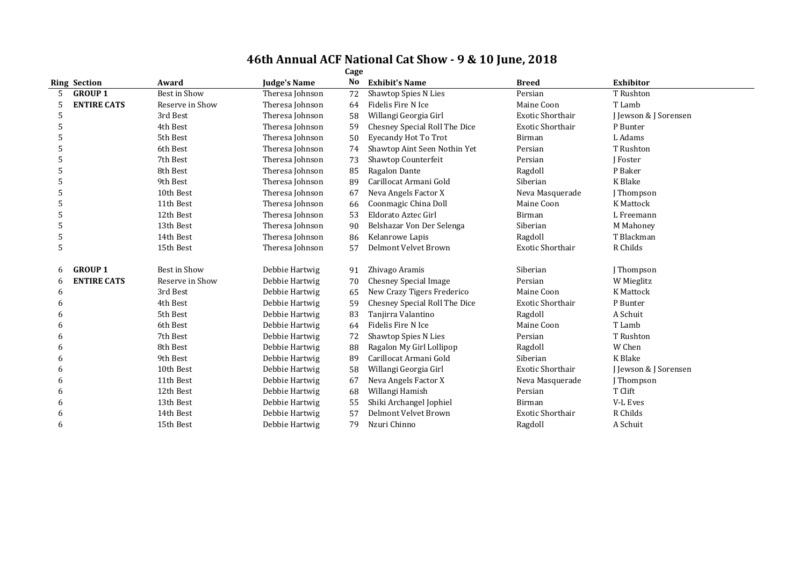|   | Cage                |                     |                     |                |                               |                         |                       |  |  |  |  |
|---|---------------------|---------------------|---------------------|----------------|-------------------------------|-------------------------|-----------------------|--|--|--|--|
|   | <b>Ring Section</b> | Award               | <b>Judge's Name</b> | N <sub>o</sub> | <b>Exhibit's Name</b>         | <b>Breed</b>            | Exhibitor             |  |  |  |  |
|   | <b>GROUP 1</b>      | Best in Show        | Theresa Johnson     | 72             | <b>Shawtop Spies N Lies</b>   | Persian                 | T Rushton             |  |  |  |  |
|   | <b>ENTIRE CATS</b>  | Reserve in Show     | Theresa Johnson     | 64             | Fidelis Fire N Ice            | Maine Coon              | T Lamb                |  |  |  |  |
|   |                     | 3rd Best            | Theresa Johnson     | 58             | Willangi Georgia Girl         | <b>Exotic Shorthair</b> | J Jewson & J Sorensen |  |  |  |  |
| 5 |                     | 4th Best            | Theresa Johnson     | 59             | Chesney Special Roll The Dice | Exotic Shorthair        | P Bunter              |  |  |  |  |
| 5 |                     | 5th Best            | Theresa Johnson     | 50             | <b>Eyecandy Hot To Trot</b>   | Birman                  | L Adams               |  |  |  |  |
| 5 |                     | 6th Best            | Theresa Johnson     | 74             | Shawtop Aint Seen Nothin Yet  | Persian                 | T Rushton             |  |  |  |  |
| 5 |                     | 7th Best            | Theresa Johnson     | 73             | Shawtop Counterfeit           | Persian                 | J Foster              |  |  |  |  |
| 5 |                     | 8th Best            | Theresa Johnson     | 85             | Ragalon Dante                 | Ragdoll                 | P Baker               |  |  |  |  |
| 5 |                     | 9th Best            | Theresa Johnson     | 89             | Carillocat Armani Gold        | Siberian                | K Blake               |  |  |  |  |
| 5 |                     | 10th Best           | Theresa Johnson     | 67             | Neva Angels Factor X          | Neva Masquerade         | J Thompson            |  |  |  |  |
| 5 |                     | 11th Best           | Theresa Johnson     | 66             | Coonmagic China Doll          | Maine Coon              | K Mattock             |  |  |  |  |
| 5 |                     | 12th Best           | Theresa Johnson     | 53             | Eldorato Aztec Girl           | Birman                  | L Freemann            |  |  |  |  |
| 5 |                     | 13th Best           | Theresa Johnson     | 90             | Belshazar Von Der Selenga     | Siberian                | M Mahoney             |  |  |  |  |
| 5 |                     | 14th Best           | Theresa Johnson     | 86             | Kelanrowe Lapis               | Ragdoll                 | T Blackman            |  |  |  |  |
| 5 |                     | 15th Best           | Theresa Johnson     | 57             | Delmont Velvet Brown          | <b>Exotic Shorthair</b> | R Childs              |  |  |  |  |
|   | <b>GROUP 1</b>      | <b>Best in Show</b> | Debbie Hartwig      | 91             | Zhivago Aramis                | Siberian                | J Thompson            |  |  |  |  |
|   | <b>ENTIRE CATS</b>  | Reserve in Show     | Debbie Hartwig      | 70             | <b>Chesney Special Image</b>  | Persian                 | W Mieglitz            |  |  |  |  |
| 6 |                     | 3rd Best            | Debbie Hartwig      | 65             | New Crazy Tigers Frederico    | Maine Coon              | K Mattock             |  |  |  |  |
|   |                     | 4th Best            | Debbie Hartwig      | 59             | Chesney Special Roll The Dice | Exotic Shorthair        | P Bunter              |  |  |  |  |
| h |                     | 5th Best            | Debbie Hartwig      | 83             | Tanjirra Valantino            | Ragdoll                 | A Schuit              |  |  |  |  |
| 6 |                     | 6th Best            | Debbie Hartwig      | 64             | Fidelis Fire N Ice            | Maine Coon              | T Lamb                |  |  |  |  |
| 6 |                     | 7th Best            | Debbie Hartwig      | 72             | Shawtop Spies N Lies          | Persian                 | T Rushton             |  |  |  |  |
| 6 |                     | 8th Best            | Debbie Hartwig      | 88             | Ragalon My Girl Lollipop      | Ragdoll                 | W Chen                |  |  |  |  |
| 6 |                     | 9th Best            | Debbie Hartwig      | 89             | Carillocat Armani Gold        | Siberian                | K Blake               |  |  |  |  |
| 6 |                     | 10th Best           | Debbie Hartwig      | 58             | Willangi Georgia Girl         | <b>Exotic Shorthair</b> | J Jewson & J Sorensen |  |  |  |  |
|   |                     | 11th Best           | Debbie Hartwig      | 67             | Neva Angels Factor X          | Neva Masquerade         | J Thompson            |  |  |  |  |
| h |                     | 12th Best           | Debbie Hartwig      | 68             | Willangi Hamish               | Persian                 | T Clift               |  |  |  |  |
|   |                     | 13th Best           | Debbie Hartwig      | 55             | Shiki Archangel Jophiel       | Birman                  | <b>V-L Eves</b>       |  |  |  |  |
|   |                     | 14th Best           | Debbie Hartwig      | 57             | Delmont Velvet Brown          | <b>Exotic Shorthair</b> | R Childs              |  |  |  |  |
| 6 |                     | 15th Best           | Debbie Hartwig      | 79             | Nzuri Chinno                  | Ragdoll                 | A Schuit              |  |  |  |  |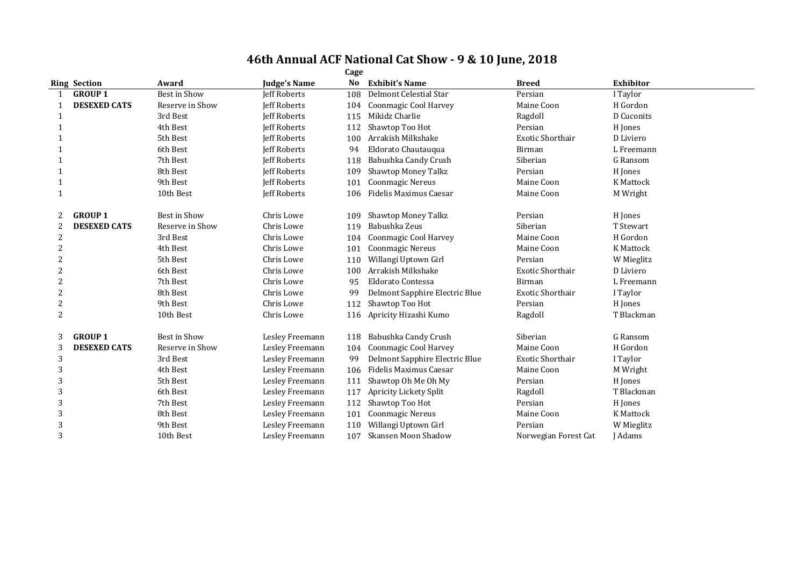|                | Cage                |                 |                     |     |                                |                         |                  |  |  |  |  |
|----------------|---------------------|-----------------|---------------------|-----|--------------------------------|-------------------------|------------------|--|--|--|--|
|                | <b>Ring Section</b> | Award           | Judge's Name        | No  | <b>Exhibit's Name</b>          | <b>Breed</b>            | <b>Exhibitor</b> |  |  |  |  |
|                | <b>GROUP 1</b>      | Best in Show    | Jeff Roberts        | 108 | Delmont Celestial Star         | Persian                 | I Taylor         |  |  |  |  |
|                | <b>DESEXED CATS</b> | Reserve in Show | <b>Jeff Roberts</b> | 104 | Coonmagic Cool Harvey          | Maine Coon              | H Gordon         |  |  |  |  |
|                |                     | 3rd Best        | <b>Jeff Roberts</b> | 115 | Mikidz Charlie                 | Ragdoll                 | D Cuconits       |  |  |  |  |
| -1             |                     | 4th Best        | <b>Jeff Roberts</b> | 112 | Shawtop Too Hot                | Persian                 | H Jones          |  |  |  |  |
| -1             |                     | 5th Best        | <b>Jeff Roberts</b> | 100 | Arrakish Milkshake             | <b>Exotic Shorthair</b> | D Liviero        |  |  |  |  |
|                |                     | 6th Best        | <b>Jeff Roberts</b> | 94  | Eldorato Chautauqua            | Birman                  | L Freemann       |  |  |  |  |
|                |                     | 7th Best        | <b>Jeff Roberts</b> | 118 | Babushka Candy Crush           | Siberian                | G Ransom         |  |  |  |  |
|                |                     | 8th Best        | <b>Jeff Roberts</b> | 109 | <b>Shawtop Money Talkz</b>     | Persian                 | H Jones          |  |  |  |  |
| $\mathbf{1}$   |                     | 9th Best        | <b>Jeff Roberts</b> | 101 | <b>Coonmagic Nereus</b>        | Maine Coon              | <b>K</b> Mattock |  |  |  |  |
| $\mathbf{1}$   |                     | 10th Best       | Jeff Roberts        | 106 | Fidelis Maximus Caesar         | Maine Coon              | M Wright         |  |  |  |  |
|                | <b>GROUP 1</b>      | Best in Show    | Chris Lowe          | 109 | <b>Shawtop Money Talkz</b>     | Persian                 | H Jones          |  |  |  |  |
| 2              | <b>DESEXED CATS</b> | Reserve in Show | Chris Lowe          | 119 | Babushka Zeus                  | Siberian                | T Stewart        |  |  |  |  |
| 2              |                     | 3rd Best        | Chris Lowe          | 104 | Coonmagic Cool Harvey          | Maine Coon              | H Gordon         |  |  |  |  |
| 2              |                     | 4th Best        | Chris Lowe          | 101 | <b>Coonmagic Nereus</b>        | Maine Coon              | <b>K</b> Mattock |  |  |  |  |
| 2              |                     | 5th Best        | Chris Lowe          | 110 | Willangi Uptown Girl           | Persian                 | W Mieglitz       |  |  |  |  |
|                |                     | 6th Best        | Chris Lowe          | 100 | Arrakish Milkshake             | <b>Exotic Shorthair</b> | D Liviero        |  |  |  |  |
| 2              |                     | 7th Best        | Chris Lowe          | 95  | Eldorato Contessa              | Birman                  | L Freemann       |  |  |  |  |
| $\overline{2}$ |                     | 8th Best        | Chris Lowe          | 99  | Delmont Sapphire Electric Blue | <b>Exotic Shorthair</b> | I Taylor         |  |  |  |  |
| $\overline{2}$ |                     | 9th Best        | Chris Lowe          | 112 | Shawtop Too Hot                | Persian                 | H Jones          |  |  |  |  |
| $\overline{2}$ |                     | 10th Best       | Chris Lowe          | 116 | Apricity Hizashi Kumo          | Ragdoll                 | T Blackman       |  |  |  |  |
| 3              | <b>GROUP 1</b>      | Best in Show    | Lesley Freemann     | 118 | Babushka Candy Crush           | Siberian                | G Ransom         |  |  |  |  |
| 3              | <b>DESEXED CATS</b> | Reserve in Show | Lesley Freemann     | 104 | Coonmagic Cool Harvey          | Maine Coon              | H Gordon         |  |  |  |  |
| 3              |                     | 3rd Best        | Lesley Freemann     | 99  | Delmont Sapphire Electric Blue | <b>Exotic Shorthair</b> | I Taylor         |  |  |  |  |
| 3              |                     | 4th Best        | Lesley Freemann     | 106 | Fidelis Maximus Caesar         | Maine Coon              | M Wright         |  |  |  |  |
| 3              |                     | 5th Best        | Lesley Freemann     | 111 | Shawtop Oh Me Oh My            | Persian                 | H Jones          |  |  |  |  |
| 3              |                     | 6th Best        | Lesley Freemann     | 117 | Apricity Lickety Split         | Ragdoll                 | T Blackman       |  |  |  |  |
| 3              |                     | 7th Best        | Lesley Freemann     | 112 | Shawtop Too Hot                | Persian                 | H Jones          |  |  |  |  |
| 3              |                     | 8th Best        | Lesley Freemann     | 101 | <b>Coonmagic Nereus</b>        | Maine Coon              | K Mattock        |  |  |  |  |
| 3              |                     | 9th Best        | Lesley Freemann     | 110 | Willangi Uptown Girl           | Persian                 | W Mieglitz       |  |  |  |  |
| 3              |                     | 10th Best       | Lesley Freemann     | 107 | Skansen Moon Shadow            | Norwegian Forest Cat    | <b>I</b> Adams   |  |  |  |  |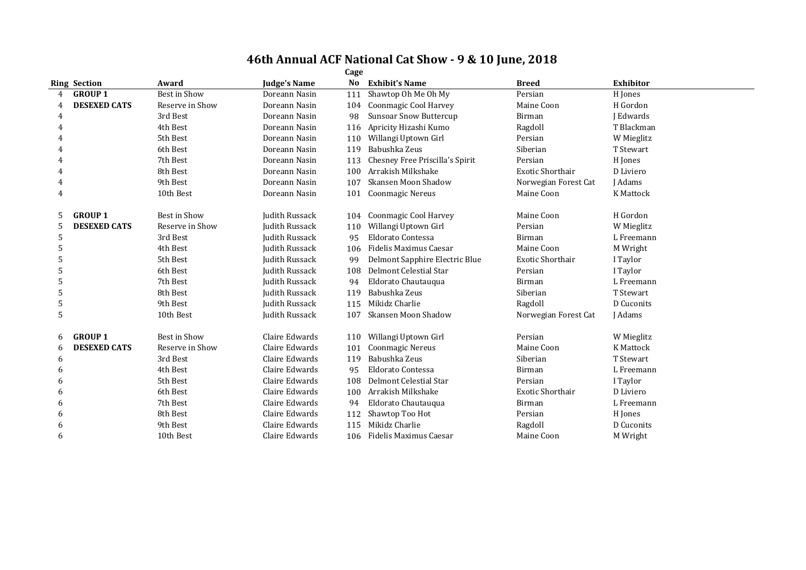|   |                     |                 |                       | Cage |                                 |                         |                  |
|---|---------------------|-----------------|-----------------------|------|---------------------------------|-------------------------|------------------|
|   | <b>Ring Section</b> | Award           | <b>Judge's Name</b>   | No   | <b>Exhibit's Name</b>           | <b>Breed</b>            | <b>Exhibitor</b> |
| 4 | <b>GROUP 1</b>      | Best in Show    | Doreann Nasin         | 111  | Shawtop Oh Me Oh My             | Persian                 | H Jones          |
|   | <b>DESEXED CATS</b> | Reserve in Show | Doreann Nasin         | 104  | Coonmagic Cool Harvey           | Maine Coon              | H Gordon         |
| 4 |                     | 3rd Best        | Doreann Nasin         | 98   | <b>Sunsoar Snow Buttercup</b>   | <b>Birman</b>           | I Edwards        |
|   |                     | 4th Best        | Doreann Nasin         | 116  | Apricity Hizashi Kumo           | Ragdoll                 | T Blackman       |
|   |                     | 5th Best        | Doreann Nasin         | 110  | Willangi Uptown Girl            | Persian                 | W Mieglitz       |
|   |                     | 6th Best        | Doreann Nasin         | 119  | Babushka Zeus                   | Siberian                | T Stewart        |
|   |                     | 7th Best        | Doreann Nasin         | 113  | Chesney Free Priscilla's Spirit | Persian                 | H Jones          |
|   |                     | 8th Best        | Doreann Nasin         | 100  | Arrakish Milkshake              | <b>Exotic Shorthair</b> | D Liviero        |
|   |                     | 9th Best        | Doreann Nasin         | 107  | Skansen Moon Shadow             | Norwegian Forest Cat    | <b>I</b> Adams   |
| 4 |                     | 10th Best       | Doreann Nasin         | 101  | Coonmagic Nereus                | Maine Coon              | <b>K</b> Mattock |
|   | <b>GROUP 1</b>      | Best in Show    | <b>Judith Russack</b> | 104  | Coonmagic Cool Harvey           | Maine Coon              | H Gordon         |
| 5 | <b>DESEXED CATS</b> | Reserve in Show | Judith Russack        | 110  | Willangi Uptown Girl            | Persian                 | W Mieglitz       |
| 5 |                     | 3rd Best        | Judith Russack        | 95   | Eldorato Contessa               | Birman                  | L Freemann       |
| 5 |                     | 4th Best        | Judith Russack        | 106  | Fidelis Maximus Caesar          | Maine Coon              | M Wright         |
|   |                     | 5th Best        | <b>Judith Russack</b> | 99   | Delmont Sapphire Electric Blue  | <b>Exotic Shorthair</b> | I Taylor         |
|   |                     | 6th Best        | Judith Russack        | 108  | Delmont Celestial Star          | Persian                 | I Taylor         |
| 5 |                     | 7th Best        | Judith Russack        | 94   | Eldorato Chautauqua             | Birman                  | L Freemann       |
| 5 |                     | 8th Best        | Judith Russack        | 119  | Babushka Zeus                   | Siberian                | T Stewart        |
| 5 |                     | 9th Best        | Judith Russack        | 115  | Mikidz Charlie                  | Ragdoll                 | D Cuconits       |
| 5 |                     | 10th Best       | Judith Russack        | 107  | Skansen Moon Shadow             | Norwegian Forest Cat    | J Adams          |
| 6 | <b>GROUP 1</b>      | Best in Show    | Claire Edwards        | 110  | Willangi Uptown Girl            | Persian                 | W Mieglitz       |
| 6 | <b>DESEXED CATS</b> | Reserve in Show | Claire Edwards        | 101  | <b>Coonmagic Nereus</b>         | Maine Coon              | <b>K</b> Mattock |
| 6 |                     | 3rd Best        | Claire Edwards        | 119  | Babushka Zeus                   | Siberian                | T Stewart        |
| 6 |                     | 4th Best        | Claire Edwards        | 95   | Eldorato Contessa               | Birman                  | L Freemann       |
| 6 |                     | 5th Best        | Claire Edwards        | 108  | Delmont Celestial Star          | Persian                 | I Taylor         |
| 6 |                     | 6th Best        | Claire Edwards        | 100  | Arrakish Milkshake              | <b>Exotic Shorthair</b> | D Liviero        |
| h |                     | 7th Best        | Claire Edwards        | 94   | Eldorato Chautauqua             | <b>Birman</b>           | L Freemann       |
| h |                     | 8th Best        | Claire Edwards        | 112  | Shawtop Too Hot                 | Persian                 | H Jones          |
| 6 |                     | 9th Best        | Claire Edwards        | 115  | Mikidz Charlie                  | Ragdoll                 | D Cuconits       |
| 6 |                     | 10th Best       | Claire Edwards        | 106  | Fidelis Maximus Caesar          | Maine Coon              | M Wright         |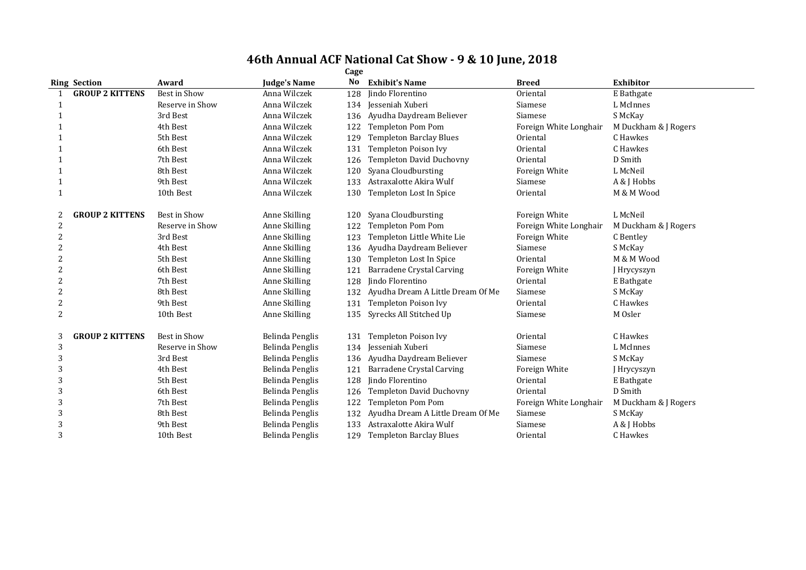|   | Cage                   |                 |                     |     |                                   |                        |                      |  |  |  |  |
|---|------------------------|-----------------|---------------------|-----|-----------------------------------|------------------------|----------------------|--|--|--|--|
|   | <b>Ring Section</b>    | Award           | <b>Judge's Name</b> | No  | <b>Exhibit's Name</b>             | <b>Breed</b>           | <b>Exhibitor</b>     |  |  |  |  |
|   | <b>GROUP 2 KITTENS</b> | Best in Show    | Anna Wilczek        | 128 | Jindo Florentino                  | Oriental               | E Bathgate           |  |  |  |  |
|   |                        | Reserve in Show | Anna Wilczek        |     | 134 Jesseniah Xuberi              | Siamese                | L McInnes            |  |  |  |  |
|   |                        | 3rd Best        | Anna Wilczek        | 136 | Ayudha Daydream Believer          | Siamese                | S McKay              |  |  |  |  |
|   |                        | 4th Best        | Anna Wilczek        | 122 | <b>Templeton Pom Pom</b>          | Foreign White Longhair | M Duckham & J Rogers |  |  |  |  |
|   |                        | 5th Best        | Anna Wilczek        | 129 | <b>Templeton Barclay Blues</b>    | Oriental               | C Hawkes             |  |  |  |  |
|   |                        | 6th Best        | Anna Wilczek        | 131 | Templeton Poison Ivy              | Oriental               | C Hawkes             |  |  |  |  |
|   |                        | 7th Best        | Anna Wilczek        | 126 | <b>Templeton David Duchovny</b>   | Oriental               | D Smith              |  |  |  |  |
|   |                        | 8th Best        | Anna Wilczek        | 120 | Syana Cloudbursting               | Foreign White          | L McNeil             |  |  |  |  |
|   |                        | 9th Best        | Anna Wilczek        | 133 | Astraxalotte Akira Wulf           | Siamese                | A & J Hobbs          |  |  |  |  |
|   |                        | 10th Best       | Anna Wilczek        | 130 | Templeton Lost In Spice           | Oriental               | M & M Wood           |  |  |  |  |
| 2 | <b>GROUP 2 KITTENS</b> | Best in Show    | Anne Skilling       | 120 | Syana Cloudbursting               | Foreign White          | L McNeil             |  |  |  |  |
| 2 |                        | Reserve in Show | Anne Skilling       | 122 | <b>Templeton Pom Pom</b>          | Foreign White Longhair | M Duckham & J Rogers |  |  |  |  |
| 2 |                        | 3rd Best        | Anne Skilling       | 123 | Templeton Little White Lie        | Foreign White          | C Bentley            |  |  |  |  |
| 2 |                        | 4th Best        | Anne Skilling       | 136 | Ayudha Daydream Believer          | Siamese                | S McKay              |  |  |  |  |
| 2 |                        | 5th Best        | Anne Skilling       | 130 | Templeton Lost In Spice           | Oriental               | M & M Wood           |  |  |  |  |
| 2 |                        | 6th Best        | Anne Skilling       | 121 | <b>Barradene Crystal Carving</b>  | Foreign White          | Hrycyszyn            |  |  |  |  |
| 2 |                        | 7th Best        | Anne Skilling       | 128 | lindo Florentino                  | Oriental               | E Bathgate           |  |  |  |  |
| 2 |                        | 8th Best        | Anne Skilling       | 132 | Ayudha Dream A Little Dream Of Me | Siamese                | S McKay              |  |  |  |  |
| 2 |                        | 9th Best        | Anne Skilling       | 131 | Templeton Poison Ivy              | Oriental               | C Hawkes             |  |  |  |  |
| 2 |                        | 10th Best       | Anne Skilling       | 135 | Syrecks All Stitched Up           | Siamese                | M Osler              |  |  |  |  |
| 3 | <b>GROUP 2 KITTENS</b> | Best in Show    | Belinda Penglis     | 131 | <b>Templeton Poison Ivy</b>       | Oriental               | C Hawkes             |  |  |  |  |
| 3 |                        | Reserve in Show | Belinda Penglis     | 134 | Iesseniah Xuberi                  | Siamese                | L McInnes            |  |  |  |  |
| 3 |                        | 3rd Best        | Belinda Penglis     | 136 | Ayudha Daydream Believer          | Siamese                | S McKay              |  |  |  |  |
| 3 |                        | 4th Best        | Belinda Penglis     | 121 | Barradene Crystal Carving         | Foreign White          | J Hrycyszyn          |  |  |  |  |
| 3 |                        | 5th Best        | Belinda Penglis     | 128 | lindo Florentino                  | Oriental               | E Bathgate           |  |  |  |  |
| 3 |                        | 6th Best        | Belinda Penglis     | 126 | Templeton David Duchovny          | Oriental               | D Smith              |  |  |  |  |
| 3 |                        | 7th Best        | Belinda Penglis     | 122 | <b>Templeton Pom Pom</b>          | Foreign White Longhair | M Duckham & J Rogers |  |  |  |  |
| 3 |                        | 8th Best        | Belinda Penglis     | 132 | Ayudha Dream A Little Dream Of Me | Siamese                | S McKay              |  |  |  |  |
| 3 |                        | 9th Best        | Belinda Penglis     | 133 | Astraxalotte Akira Wulf           | Siamese                | A & J Hobbs          |  |  |  |  |
| 3 |                        | 10th Best       | Belinda Penglis     | 129 | <b>Templeton Barclay Blues</b>    | Oriental               | C Hawkes             |  |  |  |  |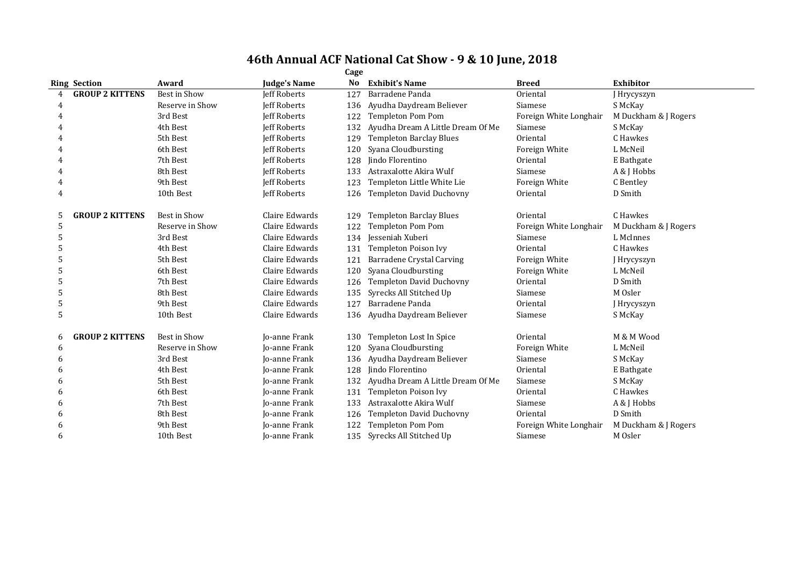|   | Cage                   |                 |                      |     |                                   |                        |                      |  |  |  |  |
|---|------------------------|-----------------|----------------------|-----|-----------------------------------|------------------------|----------------------|--|--|--|--|
|   | <b>Ring Section</b>    | Award           | Judge's Name         | No  | <b>Exhibit's Name</b>             | <b>Breed</b>           | <b>Exhibitor</b>     |  |  |  |  |
|   | <b>GROUP 2 KITTENS</b> | Best in Show    | <b>Jeff Roberts</b>  | 127 | Barradene Panda                   | Oriental               | J Hrycyszyn          |  |  |  |  |
|   |                        | Reserve in Show | <b>Jeff Roberts</b>  | 136 | Ayudha Daydream Believer          | Siamese                | S McKay              |  |  |  |  |
|   |                        | 3rd Best        | <b>Jeff Roberts</b>  | 122 | <b>Templeton Pom Pom</b>          | Foreign White Longhair | M Duckham & J Rogers |  |  |  |  |
|   |                        | 4th Best        | <b>Jeff Roberts</b>  | 132 | Ayudha Dream A Little Dream Of Me | Siamese                | S McKay              |  |  |  |  |
|   |                        | 5th Best        | <b>Jeff Roberts</b>  | 129 | <b>Templeton Barclay Blues</b>    | Oriental               | C Hawkes             |  |  |  |  |
|   |                        | 6th Best        | <b>Jeff Roberts</b>  | 120 | Syana Cloudbursting               | Foreign White          | L McNeil             |  |  |  |  |
|   |                        | 7th Best        | <b>Jeff Roberts</b>  | 128 | <b>Iindo Florentino</b>           | Oriental               | E Bathgate           |  |  |  |  |
|   |                        | 8th Best        | <b>Jeff Roberts</b>  | 133 | Astraxalotte Akira Wulf           | Siamese                | A & J Hobbs          |  |  |  |  |
|   |                        | 9th Best        | <b>Jeff Roberts</b>  | 123 | Templeton Little White Lie        | Foreign White          | C Bentley            |  |  |  |  |
| 4 |                        | 10th Best       | Jeff Roberts         | 126 | Templeton David Duchovny          | Oriental               | D Smith              |  |  |  |  |
| 5 | <b>GROUP 2 KITTENS</b> | Best in Show    | Claire Edwards       | 129 | <b>Templeton Barclay Blues</b>    | Oriental               | C Hawkes             |  |  |  |  |
| 5 |                        | Reserve in Show | Claire Edwards       | 122 | <b>Templeton Pom Pom</b>          | Foreign White Longhair | M Duckham & J Rogers |  |  |  |  |
| 5 |                        | 3rd Best        | Claire Edwards       | 134 | Jesseniah Xuberi                  | Siamese                | L McInnes            |  |  |  |  |
| 5 |                        | 4th Best        | Claire Edwards       | 131 | <b>Templeton Poison Ivy</b>       | Oriental               | C Hawkes             |  |  |  |  |
| 5 |                        | 5th Best        | Claire Edwards       | 121 | <b>Barradene Crystal Carving</b>  | Foreign White          | J Hrycyszyn          |  |  |  |  |
|   |                        | 6th Best        | Claire Edwards       | 120 | Syana Cloudbursting               | Foreign White          | L McNeil             |  |  |  |  |
|   |                        | 7th Best        | Claire Edwards       | 126 | Templeton David Duchovny          | Oriental               | D Smith              |  |  |  |  |
| 5 |                        | 8th Best        | Claire Edwards       | 135 | Syrecks All Stitched Up           | Siamese                | M Osler              |  |  |  |  |
| 5 |                        | 9th Best        | Claire Edwards       | 127 | Barradene Panda                   | Oriental               | J Hrycyszyn          |  |  |  |  |
| 5 |                        | 10th Best       | Claire Edwards       |     | 136 Ayudha Daydream Believer      | Siamese                | S McKay              |  |  |  |  |
| 6 | <b>GROUP 2 KITTENS</b> | Best in Show    | Jo-anne Frank        | 130 | Templeton Lost In Spice           | Oriental               | M & M Wood           |  |  |  |  |
| 6 |                        | Reserve in Show | <b>Jo-anne Frank</b> | 120 | Syana Cloudbursting               | Foreign White          | L McNeil             |  |  |  |  |
| h |                        | 3rd Best        | Jo-anne Frank        | 136 | Ayudha Daydream Believer          | Siamese                | S McKay              |  |  |  |  |
| h |                        | 4th Best        | <b>Io-anne Frank</b> | 128 | <b>Iindo Florentino</b>           | Oriental               | E Bathgate           |  |  |  |  |
|   |                        | 5th Best        | <b>Io-anne Frank</b> | 132 | Ayudha Dream A Little Dream Of Me | Siamese                | S McKay              |  |  |  |  |
|   |                        | 6th Best        | Jo-anne Frank        | 131 | <b>Templeton Poison Ivy</b>       | Oriental               | C Hawkes             |  |  |  |  |
|   |                        | 7th Best        | Jo-anne Frank        | 133 | Astraxalotte Akira Wulf           | Siamese                | A & J Hobbs          |  |  |  |  |
| 6 |                        | 8th Best        | Jo-anne Frank        | 126 | Templeton David Duchovny          | Oriental               | D Smith              |  |  |  |  |
|   |                        | 9th Best        | <b>Io-anne Frank</b> | 122 | <b>Templeton Pom Pom</b>          | Foreign White Longhair | M Duckham & J Rogers |  |  |  |  |
| 6 |                        | 10th Best       | Jo-anne Frank        | 135 | Syrecks All Stitched Up           | Siamese                | M Osler              |  |  |  |  |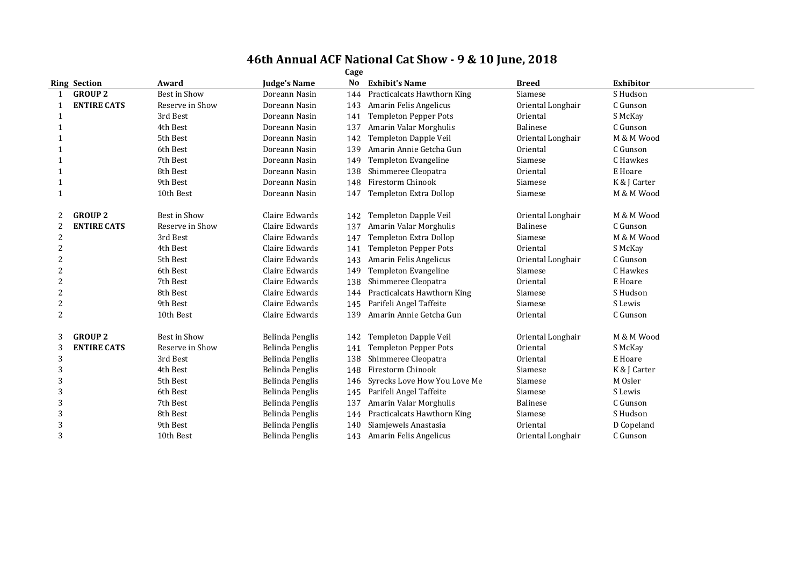|                |                     |                     |                     | Cage |                              |                   |                  |
|----------------|---------------------|---------------------|---------------------|------|------------------------------|-------------------|------------------|
|                | <b>Ring Section</b> | Award               | <b>Judge's Name</b> | No   | <b>Exhibit's Name</b>        | <b>Breed</b>      | <b>Exhibitor</b> |
|                | <b>GROUP 2</b>      | <b>Best in Show</b> | Doreann Nasin       | 144  | Practicalcats Hawthorn King  | Siamese           | S Hudson         |
|                | <b>ENTIRE CATS</b>  | Reserve in Show     | Doreann Nasin       | 143  | Amarin Felis Angelicus       | Oriental Longhair | C Gunson         |
|                |                     | 3rd Best            | Doreann Nasin       | 141  | <b>Templeton Pepper Pots</b> | Oriental          | S McKay          |
|                |                     | 4th Best            | Doreann Nasin       | 137  | Amarin Valar Morghulis       | Balinese          | C Gunson         |
|                |                     | 5th Best            | Doreann Nasin       | 142  | Templeton Dapple Veil        | Oriental Longhair | M & M Wood       |
|                |                     | 6th Best            | Doreann Nasin       | 139  | Amarin Annie Getcha Gun      | Oriental          | C Gunson         |
|                |                     | 7th Best            | Doreann Nasin       | 149  | Templeton Evangeline         | Siamese           | C Hawkes         |
|                |                     | 8th Best            | Doreann Nasin       | 138  | Shimmeree Cleopatra          | Oriental          | E Hoare          |
| -1             |                     | 9th Best            | Doreann Nasin       | 148  | Firestorm Chinook            | Siamese           | K & J Carter     |
|                |                     | 10th Best           | Doreann Nasin       | 147  | Templeton Extra Dollop       | Siamese           | M & M Wood       |
|                | <b>GROUP 2</b>      | Best in Show        | Claire Edwards      | 142  | Templeton Dapple Veil        | Oriental Longhair | M & M Wood       |
| 2              | <b>ENTIRE CATS</b>  | Reserve in Show     | Claire Edwards      | 137  | Amarin Valar Morghulis       | Balinese          | C Gunson         |
| $\overline{2}$ |                     | 3rd Best            | Claire Edwards      | 147  | Templeton Extra Dollop       | Siamese           | M & M Wood       |
| $\overline{2}$ |                     | 4th Best            | Claire Edwards      | 141  | <b>Templeton Pepper Pots</b> | Oriental          | S McKay          |
| $\overline{2}$ |                     | 5th Best            | Claire Edwards      | 143  | Amarin Felis Angelicus       | Oriental Longhair | C Gunson         |
| $\overline{2}$ |                     | 6th Best            | Claire Edwards      | 149  | Templeton Evangeline         | Siamese           | C Hawkes         |
| 2              |                     | 7th Best            | Claire Edwards      | 138  | Shimmeree Cleopatra          | Oriental          | E Hoare          |
| 2              |                     | 8th Best            | Claire Edwards      | 144  | Practicalcats Hawthorn King  | Siamese           | S Hudson         |
| $\overline{2}$ |                     | 9th Best            | Claire Edwards      | 145  | Parifeli Angel Taffeite      | Siamese           | S Lewis          |
| $\overline{2}$ |                     | 10th Best           | Claire Edwards      | 139  | Amarin Annie Getcha Gun      | Oriental          | C Gunson         |
| 3              | <b>GROUP 2</b>      | Best in Show        | Belinda Penglis     | 142  | Templeton Dapple Veil        | Oriental Longhair | M & M Wood       |
| 3              | <b>ENTIRE CATS</b>  | Reserve in Show     | Belinda Penglis     | 141  | <b>Templeton Pepper Pots</b> | Oriental          | S McKay          |
| 3              |                     | 3rd Best            | Belinda Penglis     | 138  | Shimmeree Cleopatra          | Oriental          | E Hoare          |
| 3              |                     | 4th Best            | Belinda Penglis     | 148  | Firestorm Chinook            | Siamese           | K & J Carter     |
| 3              |                     | 5th Best            | Belinda Penglis     | 146  | Syrecks Love How You Love Me | Siamese           | M Osler          |
| 3              |                     | 6th Best            | Belinda Penglis     | 145  | Parifeli Angel Taffeite      | Siamese           | S Lewis          |
| 3              |                     | 7th Best            | Belinda Penglis     | 137  | Amarin Valar Morghulis       | Balinese          | C Gunson         |
| 3              |                     | 8th Best            | Belinda Penglis     | 144  | Practicalcats Hawthorn King  | Siamese           | S Hudson         |
| 3              |                     | 9th Best            | Belinda Penglis     | 140  | Siamjewels Anastasia         | Oriental          | D Copeland       |
| 3              |                     | 10th Best           | Belinda Penglis     | 143  | Amarin Felis Angelicus       | Oriental Longhair | C Gunson         |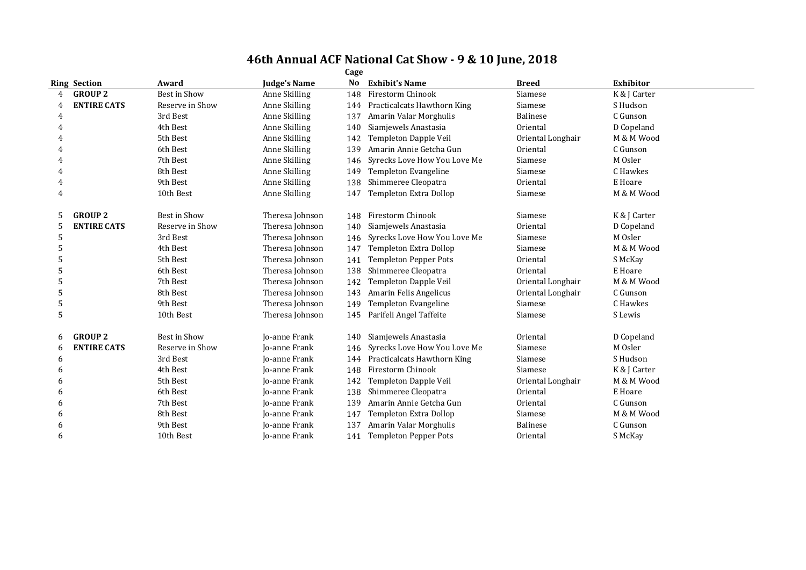|   |                     |                     |                      | Cage           |                              |                   |                  |
|---|---------------------|---------------------|----------------------|----------------|------------------------------|-------------------|------------------|
|   | <b>Ring Section</b> | Award               | <b>Judge's Name</b>  | N <sub>0</sub> | <b>Exhibit's Name</b>        | <b>Breed</b>      | <b>Exhibitor</b> |
| 4 | <b>GROUP 2</b>      | <b>Best in Show</b> | Anne Skilling        | 148            | Firestorm Chinook            | Siamese           | K & J Carter     |
| 4 | <b>ENTIRE CATS</b>  | Reserve in Show     | Anne Skilling        | 144            | Practicalcats Hawthorn King  | Siamese           | S Hudson         |
| 4 |                     | 3rd Best            | Anne Skilling        | 137            | Amarin Valar Morghulis       | Balinese          | C Gunson         |
| 4 |                     | 4th Best            | Anne Skilling        | 140            | Siamjewels Anastasia         | Oriental          | D Copeland       |
| 4 |                     | 5th Best            | Anne Skilling        | 142            | Templeton Dapple Veil        | Oriental Longhair | M & M Wood       |
| 4 |                     | 6th Best            | Anne Skilling        | 139            | Amarin Annie Getcha Gun      | Oriental          | C Gunson         |
| 4 |                     | 7th Best            | Anne Skilling        | 146            | Syrecks Love How You Love Me | Siamese           | M Osler          |
| 4 |                     | 8th Best            | Anne Skilling        | 149            | Templeton Evangeline         | Siamese           | C Hawkes         |
| 4 |                     | 9th Best            | Anne Skilling        | 138            | Shimmeree Cleopatra          | Oriental          | E Hoare          |
| 4 |                     | 10th Best           | Anne Skilling        | 147            | Templeton Extra Dollop       | Siamese           | M & M Wood       |
| 5 | <b>GROUP 2</b>      | Best in Show        | Theresa Johnson      | 148            | Firestorm Chinook            | Siamese           | K & J Carter     |
| 5 | <b>ENTIRE CATS</b>  | Reserve in Show     | Theresa Johnson      | 140            | Siamjewels Anastasia         | Oriental          | D Copeland       |
| 5 |                     | 3rd Best            | Theresa Johnson      | 146            | Syrecks Love How You Love Me | Siamese           | M Osler          |
| 5 |                     | 4th Best            | Theresa Johnson      | 147            | Templeton Extra Dollop       | Siamese           | M & M Wood       |
| 5 |                     | 5th Best            | Theresa Johnson      | 141            | <b>Templeton Pepper Pots</b> | Oriental          | S McKay          |
| 5 |                     | 6th Best            | Theresa Johnson      | 138            | Shimmeree Cleopatra          | Oriental          | E Hoare          |
| 5 |                     | 7th Best            | Theresa Johnson      | 142            | <b>Templeton Dapple Veil</b> | Oriental Longhair | M & M Wood       |
| 5 |                     | 8th Best            | Theresa Johnson      | 143            | Amarin Felis Angelicus       | Oriental Longhair | C Gunson         |
| 5 |                     | 9th Best            | Theresa Johnson      | 149            | Templeton Evangeline         | Siamese           | C Hawkes         |
| 5 |                     | 10th Best           | Theresa Johnson      | 145            | Parifeli Angel Taffeite      | Siamese           | S Lewis          |
| 6 | <b>GROUP 2</b>      | Best in Show        | <b>Io-anne Frank</b> | 140            | Siamjewels Anastasia         | Oriental          | D Copeland       |
| 6 | <b>ENTIRE CATS</b>  | Reserve in Show     | Jo-anne Frank        | 146            | Syrecks Love How You Love Me | Siamese           | M Osler          |
| 6 |                     | 3rd Best            | Jo-anne Frank        | 144            | Practicalcats Hawthorn King  | Siamese           | S Hudson         |
| 6 |                     | 4th Best            | <b>Io-anne Frank</b> | 148            | Firestorm Chinook            | Siamese           | K & J Carter     |
| 6 |                     | 5th Best            | <b>Io-anne Frank</b> | 142            | Templeton Dapple Veil        | Oriental Longhair | M & M Wood       |
| 6 |                     | 6th Best            | Jo-anne Frank        | 138            | Shimmeree Cleopatra          | Oriental          | E Hoare          |
| 6 |                     | 7th Best            | Jo-anne Frank        | 139            | Amarin Annie Getcha Gun      | Oriental          | C Gunson         |
| 6 |                     | 8th Best            | <b>Io-anne Frank</b> | 147            | Templeton Extra Dollop       | Siamese           | M & M Wood       |
| 6 |                     | 9th Best            | <b>Io-anne Frank</b> | 137            | Amarin Valar Morghulis       | <b>Balinese</b>   | C Gunson         |
| 6 |                     | 10th Best           | Jo-anne Frank        | 141            | <b>Templeton Pepper Pots</b> | Oriental          | S McKay          |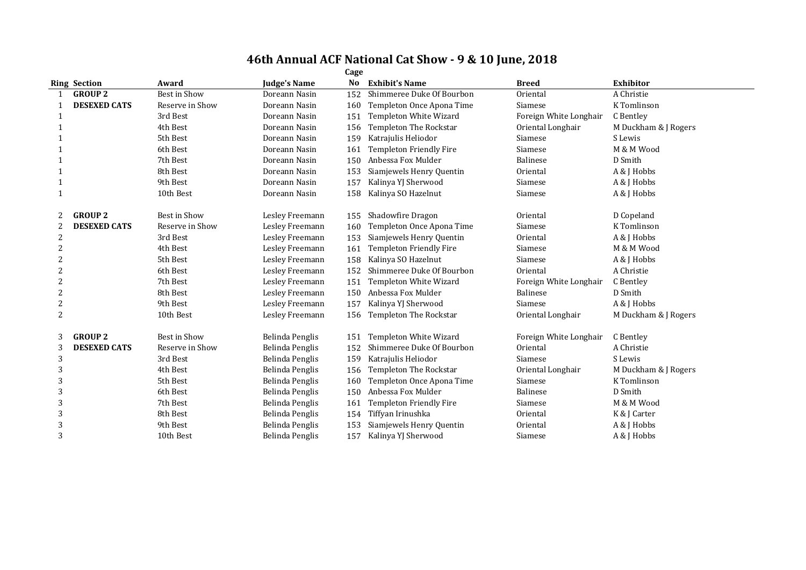|                | <b>Ring Section</b> | Award           | <b>Judge's Name</b> | No  | <b>Exhibit's Name</b>          | <b>Breed</b>           | <b>Exhibitor</b>     |
|----------------|---------------------|-----------------|---------------------|-----|--------------------------------|------------------------|----------------------|
|                | <b>GROUP 2</b>      | Best in Show    | Doreann Nasin       | 152 | Shimmeree Duke Of Bourbon      | Oriental               | A Christie           |
|                | <b>DESEXED CATS</b> | Reserve in Show | Doreann Nasin       | 160 | Templeton Once Apona Time      | Siamese                | K Tomlinson          |
|                |                     | 3rd Best        | Doreann Nasin       | 151 | Templeton White Wizard         | Foreign White Longhair | C Bentley            |
| -1             |                     | 4th Best        | Doreann Nasin       | 156 | Templeton The Rockstar         | Oriental Longhair      | M Duckham & J Rogers |
|                |                     | 5th Best        | Doreann Nasin       | 159 | Katrajulis Heliodor            | Siamese                | S Lewis              |
|                |                     | 6th Best        | Doreann Nasin       | 161 | Templeton Friendly Fire        | Siamese                | M & M Wood           |
|                |                     | 7th Best        | Doreann Nasin       | 150 | Anbessa Fox Mulder             | <b>Balinese</b>        | D Smith              |
| -1             |                     | 8th Best        | Doreann Nasin       | 153 | Siamjewels Henry Quentin       | Oriental               | A & J Hobbs          |
| $\mathbf{1}$   |                     | 9th Best        | Doreann Nasin       | 157 | Kalinya YJ Sherwood            | Siamese                | A & J Hobbs          |
| 1              |                     | 10th Best       | Doreann Nasin       | 158 | Kalinya SO Hazelnut            | Siamese                | A & J Hobbs          |
|                |                     |                 |                     |     |                                |                        |                      |
| 2              | <b>GROUP 2</b>      | Best in Show    | Lesley Freemann     | 155 | Shadowfire Dragon              | Oriental               | D Copeland           |
|                | <b>DESEXED CATS</b> | Reserve in Show | Lesley Freemann     | 160 | Templeton Once Apona Time      | Siamese                | K Tomlinson          |
| 2              |                     | 3rd Best        | Lesley Freemann     | 153 | Siamjewels Henry Quentin       | Oriental               | A & J Hobbs          |
| 2              |                     | 4th Best        | Lesley Freemann     | 161 | Templeton Friendly Fire        | Siamese                | M & M Wood           |
| 2              |                     | 5th Best        | Lesley Freemann     | 158 | Kalinya SO Hazelnut            | Siamese                | A & J Hobbs          |
| $\overline{c}$ |                     | 6th Best        | Lesley Freemann     | 152 | Shimmeree Duke Of Bourbon      | Oriental               | A Christie           |
| 2              |                     | 7th Best        | Lesley Freemann     | 151 | Templeton White Wizard         | Foreign White Longhair | C Bentley            |
|                |                     | 8th Best        | Lesley Freemann     | 150 | Anbessa Fox Mulder             | <b>Balinese</b>        | D Smith              |
| 2              |                     | 9th Best        | Lesley Freemann     | 157 | Kalinya YJ Sherwood            | Siamese                | A & J Hobbs          |
| 2              |                     | 10th Best       | Lesley Freemann     | 156 | Templeton The Rockstar         | Oriental Longhair      | M Duckham & J Rogers |
| 3              | <b>GROUP 2</b>      | Best in Show    | Belinda Penglis     | 151 | Templeton White Wizard         | Foreign White Longhair | C Bentley            |
| 3              | <b>DESEXED CATS</b> | Reserve in Show | Belinda Penglis     | 152 | Shimmeree Duke Of Bourbon      | Oriental               | A Christie           |
| 3              |                     | 3rd Best        | Belinda Penglis     | 159 | Katrajulis Heliodor            | Siamese                | S Lewis              |
| 3              |                     | 4th Best        | Belinda Penglis     | 156 | Templeton The Rockstar         | Oriental Longhair      | M Duckham & J Rogers |
|                |                     | 5th Best        | Belinda Penglis     | 160 | Templeton Once Apona Time      | Siamese                | K Tomlinson          |
| 3              |                     | 6th Best        | Belinda Penglis     | 150 | Anbessa Fox Mulder             | Balinese               | D Smith              |
| 3              |                     | 7th Best        | Belinda Penglis     | 161 | <b>Templeton Friendly Fire</b> | Siamese                | M & M Wood           |
| 3              |                     | 8th Best        | Belinda Penglis     | 154 | Tiffyan Irinushka              | Oriental               | K & J Carter         |
| 3              |                     | 9th Best        | Belinda Penglis     | 153 | Siamjewels Henry Quentin       | Oriental               | A & J Hobbs          |
| 3              |                     | 10th Best       | Belinda Penglis     | 157 | Kalinya YJ Sherwood            | Siamese                | A & J Hobbs          |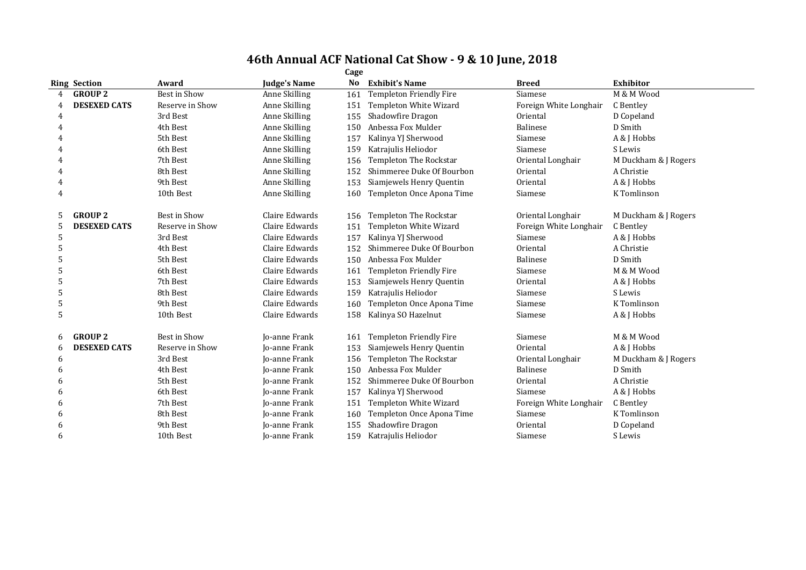|   |                     |                 |                      | Cage |                                |                        |                      |
|---|---------------------|-----------------|----------------------|------|--------------------------------|------------------------|----------------------|
|   | <b>Ring Section</b> | Award           | <b>Judge's Name</b>  | No   | <b>Exhibit's Name</b>          | <b>Breed</b>           | <b>Exhibitor</b>     |
| 4 | <b>GROUP 2</b>      | Best in Show    | Anne Skilling        | 161  | Templeton Friendly Fire        | Siamese                | M & M Wood           |
|   | <b>DESEXED CATS</b> | Reserve in Show | Anne Skilling        | 151  | Templeton White Wizard         | Foreign White Longhair | C Bentley            |
| 4 |                     | 3rd Best        | Anne Skilling        | 155  | Shadowfire Dragon              | Oriental               | D Copeland           |
| 4 |                     | 4th Best        | Anne Skilling        | 150  | Anbessa Fox Mulder             | Balinese               | D Smith              |
|   |                     | 5th Best        | Anne Skilling        | 157  | Kalinya YJ Sherwood            | Siamese                | A & J Hobbs          |
|   |                     | 6th Best        | Anne Skilling        | 159  | Katrajulis Heliodor            | Siamese                | S Lewis              |
| 4 |                     | 7th Best        | Anne Skilling        | 156  | <b>Templeton The Rockstar</b>  | Oriental Longhair      | M Duckham & J Rogers |
| 4 |                     | 8th Best        | Anne Skilling        | 152  | Shimmeree Duke Of Bourbon      | Oriental               | A Christie           |
| 4 |                     | 9th Best        | Anne Skilling        | 153  | Siamjewels Henry Quentin       | Oriental               | A & J Hobbs          |
| 4 |                     | 10th Best       | Anne Skilling        | 160  | Templeton Once Apona Time      | Siamese                | K Tomlinson          |
| 5 | <b>GROUP 2</b>      | Best in Show    | Claire Edwards       | 156  | Templeton The Rockstar         | Oriental Longhair      | M Duckham & J Rogers |
| 5 | <b>DESEXED CATS</b> | Reserve in Show | Claire Edwards       | 151  | Templeton White Wizard         | Foreign White Longhair | C Bentley            |
| 5 |                     | 3rd Best        | Claire Edwards       | 157  | Kalinya YJ Sherwood            | Siamese                | A & J Hobbs          |
| 5 |                     | 4th Best        | Claire Edwards       | 152  | Shimmeree Duke Of Bourbon      | Oriental               | A Christie           |
| 5 |                     | 5th Best        | Claire Edwards       | 150  | Anbessa Fox Mulder             | <b>Balinese</b>        | D Smith              |
| 5 |                     | 6th Best        | Claire Edwards       | 161  | <b>Templeton Friendly Fire</b> | Siamese                | M & M Wood           |
| 5 |                     | 7th Best        | Claire Edwards       | 153  | Siamjewels Henry Quentin       | Oriental               | A & J Hobbs          |
| 5 |                     | 8th Best        | Claire Edwards       | 159  | Katrajulis Heliodor            | Siamese                | S Lewis              |
| 5 |                     | 9th Best        | Claire Edwards       | 160  | Templeton Once Apona Time      | Siamese                | K Tomlinson          |
| 5 |                     | 10th Best       | Claire Edwards       | 158  | Kalinya SO Hazelnut            | Siamese                | A & J Hobbs          |
| 6 | <b>GROUP 2</b>      | Best in Show    | Jo-anne Frank        | 161  | <b>Templeton Friendly Fire</b> | Siamese                | M & M Wood           |
| 6 | <b>DESEXED CATS</b> | Reserve in Show | Jo-anne Frank        | 153  | Siamjewels Henry Quentin       | Oriental               | A & J Hobbs          |
| 6 |                     | 3rd Best        | <b>Io-anne Frank</b> | 156  | Templeton The Rockstar         | Oriental Longhair      | M Duckham & J Rogers |
| 6 |                     | 4th Best        | <b>Io-anne Frank</b> | 150  | Anbessa Fox Mulder             | <b>Balinese</b>        | D Smith              |
| 6 |                     | 5th Best        | <b>Io-anne Frank</b> | 152  | Shimmeree Duke Of Bourbon      | Oriental               | A Christie           |
| 6 |                     | 6th Best        | Jo-anne Frank        | 157  | Kalinya YJ Sherwood            | Siamese                | A & J Hobbs          |
| h |                     | 7th Best        | <b>Jo-anne Frank</b> | 151  | Templeton White Wizard         | Foreign White Longhair | C Bentley            |
| 6 |                     | 8th Best        | Jo-anne Frank        | 160  | Templeton Once Apona Time      | Siamese                | K Tomlinson          |
| 6 |                     | 9th Best        | <b>Io-anne Frank</b> | 155  | Shadowfire Dragon              | Oriental               | D Copeland           |
| 6 |                     | 10th Best       | <b>Jo-anne Frank</b> | 159  | Katrajulis Heliodor            | Siamese                | S Lewis              |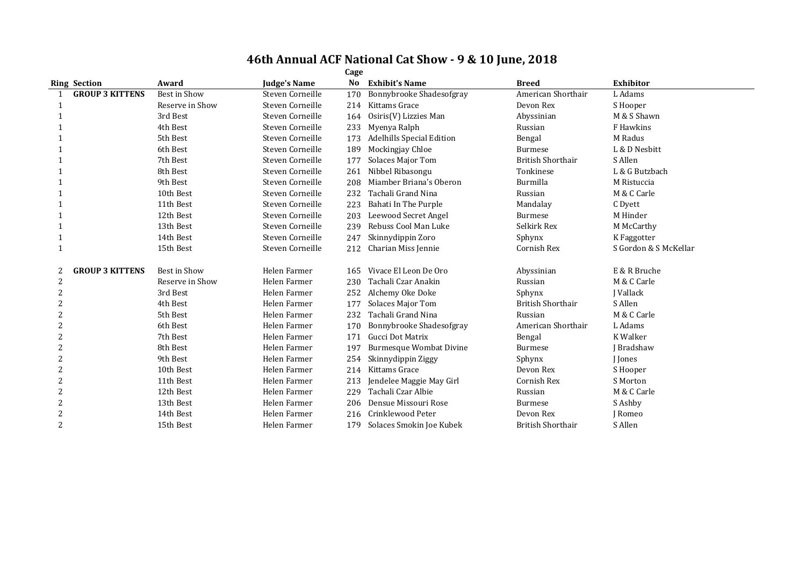| <b>Ring Section</b>         | Award               | <b>Judge's Name</b> | No  | <b>Exhibit's Name</b>            | <b>Breed</b>             | <b>Exhibitor</b>      |
|-----------------------------|---------------------|---------------------|-----|----------------------------------|--------------------------|-----------------------|
| <b>GROUP 3 KITTENS</b>      | <b>Best in Show</b> | Steven Corneille    | 170 | Bonnybrooke Shadesofgray         | American Shorthair       | L Adams               |
|                             | Reserve in Show     | Steven Corneille    | 214 | Kittams Grace                    | Devon Rex                | S Hooper              |
|                             | 3rd Best            | Steven Corneille    | 164 | Osiris(V) Lizzies Man            | Abyssinian               | M & S Shawn           |
|                             | 4th Best            | Steven Corneille    | 233 | Myenya Ralph                     | Russian                  | F Hawkins             |
|                             | 5th Best            | Steven Corneille    | 173 | <b>Adelhills Special Edition</b> | Bengal                   | M Radus               |
|                             | 6th Best            | Steven Corneille    | 189 | Mockingjay Chloe                 | Burmese                  | L & D Nesbitt         |
|                             | 7th Best            | Steven Corneille    | 177 | <b>Solaces Major Tom</b>         | <b>British Shorthair</b> | S Allen               |
|                             | 8th Best            | Steven Corneille    | 261 | Nibbel Ribasongu                 | Tonkinese                | L & G Butzbach        |
|                             | 9th Best            | Steven Corneille    | 208 | Miamber Briana's Oberon          | Burmilla                 | M Ristuccia           |
|                             | 10th Best           | Steven Corneille    | 232 | Tachali Grand Nina               | Russian                  | M & C Carle           |
|                             | 11th Best           | Steven Corneille    | 223 | Bahati In The Purple             | Mandalay                 | C Dyett               |
|                             | 12th Best           | Steven Corneille    | 203 | Leewood Secret Angel             | <b>Burmese</b>           | M Hinder              |
|                             | 13th Best           | Steven Corneille    | 239 | Rebuss Cool Man Luke             | Selkirk Rex              | M McCarthy            |
|                             | 14th Best           | Steven Corneille    | 247 | Skinnydippin Zoro                | Sphynx                   | K Faggotter           |
|                             | 15th Best           | Steven Corneille    | 212 | Charian Miss Jennie              | Cornish Rex              | S Gordon & S McKellar |
| <b>GROUP 3 KITTENS</b><br>2 | Best in Show        | Helen Farmer        | 165 | Vivace El Leon De Oro            | Abyssinian               | E & R Bruche          |
| 2                           | Reserve in Show     | Helen Farmer        | 230 | Tachali Czar Anakin              | Russian                  | M & C Carle           |
| 2                           | 3rd Best            | Helen Farmer        | 252 | Alchemy Oke Doke                 | Sphynx                   | <b>I</b> Vallack      |
| 2                           | 4th Best            | Helen Farmer        | 177 | <b>Solaces Major Tom</b>         | <b>British Shorthair</b> | S Allen               |
|                             | 5th Best            | Helen Farmer        | 232 | Tachali Grand Nina               | Russian                  | M & C Carle           |
| $\overline{2}$              | 6th Best            | Helen Farmer        | 170 | Bonnybrooke Shadesofgray         | American Shorthair       | L Adams               |
| 2                           | 7th Best            | Helen Farmer        | 171 | Gucci Dot Matrix                 | Bengal                   | K Walker              |
|                             | 8th Best            | Helen Farmer        | 197 | <b>Burmesque Wombat Divine</b>   | <b>Burmese</b>           | J Bradshaw            |
| 2                           | 9th Best            | Helen Farmer        | 254 | Skinnydippin Ziggy               | Sphynx                   | <b>I</b> Jones        |
| 2                           | 10th Best           | Helen Farmer        | 214 | Kittams Grace                    | Devon Rex                | S Hooper              |
|                             | 11th Best           | Helen Farmer        | 213 | Jendelee Maggie May Girl         | Cornish Rex              | S Morton              |
| 2                           | 12th Best           | Helen Farmer        | 229 | Tachali Czar Albie               | Russian                  | M & C Carle           |
| 2                           | 13th Best           | Helen Farmer        | 206 | Densue Missouri Rose             | <b>Burmese</b>           | S Ashby               |
|                             | 14th Best           | Helen Farmer        | 216 | Crinklewood Peter                | Devon Rex                | J Romeo               |
| 2                           | 15th Best           | Helen Farmer        | 179 | Solaces Smokin Joe Kubek         | <b>British Shorthair</b> | S Allen               |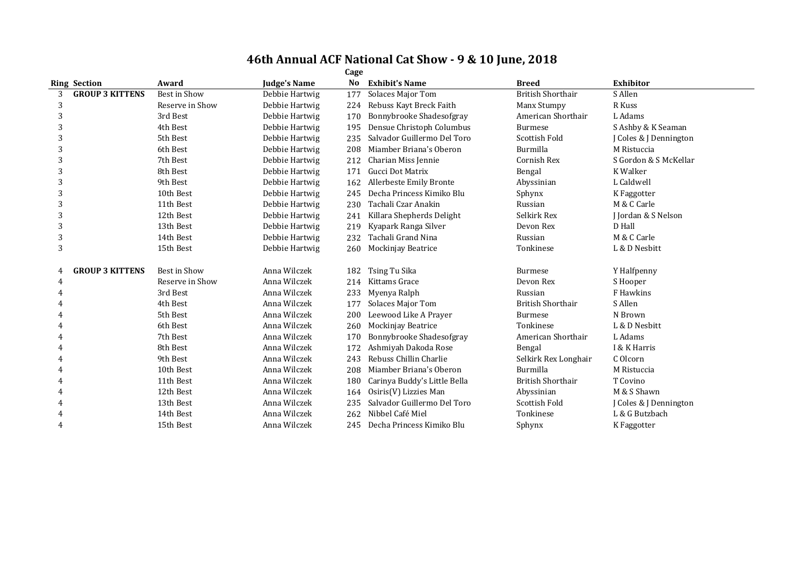|   |                        |                 |                     | Cage |                              |                          |                                   |
|---|------------------------|-----------------|---------------------|------|------------------------------|--------------------------|-----------------------------------|
|   | <b>Ring Section</b>    | Award           | <b>Judge's Name</b> | No   | <b>Exhibit's Name</b>        | <b>Breed</b>             | <b>Exhibitor</b>                  |
| 3 | <b>GROUP 3 KITTENS</b> | Best in Show    | Debbie Hartwig      | 177  | <b>Solaces Major Tom</b>     | <b>British Shorthair</b> | S Allen                           |
| 3 |                        | Reserve in Show | Debbie Hartwig      | 224  | Rebuss Kayt Breck Faith      | Manx Stumpy              | R Kuss                            |
| 3 |                        | 3rd Best        | Debbie Hartwig      | 170  | Bonnybrooke Shadesofgray     | American Shorthair       | L Adams                           |
| 3 |                        | 4th Best        | Debbie Hartwig      | 195  | Densue Christoph Columbus    | <b>Burmese</b>           | S Ashby & K Seaman                |
| 3 |                        | 5th Best        | Debbie Hartwig      | 235  | Salvador Guillermo Del Toro  | Scottish Fold            | J Coles & J Dennington            |
| 3 |                        | 6th Best        | Debbie Hartwig      | 208  | Miamber Briana's Oberon      | Burmilla                 | M Ristuccia                       |
| 3 |                        | 7th Best        | Debbie Hartwig      | 212  | Charian Miss Jennie          | Cornish Rex              | S Gordon & S McKellar             |
| 3 |                        | 8th Best        | Debbie Hartwig      | 171  | Gucci Dot Matrix             | Bengal                   | K Walker                          |
| 3 |                        | 9th Best        | Debbie Hartwig      | 162  | Allerbeste Emily Bronte      | Abyssinian               | L Caldwell                        |
| 3 |                        | 10th Best       | Debbie Hartwig      | 245  | Decha Princess Kimiko Blu    | Sphynx                   | K Faggotter                       |
| 3 |                        | 11th Best       | Debbie Hartwig      | 230  | Tachali Czar Anakin          | Russian                  | M & C Carle                       |
| 3 |                        | 12th Best       | Debbie Hartwig      | 241  | Killara Shepherds Delight    | Selkirk Rex              | J Jordan & S Nelson               |
| 3 |                        | 13th Best       | Debbie Hartwig      | 219  | Kyapark Ranga Silver         | Devon Rex                | D Hall                            |
| 3 |                        | 14th Best       | Debbie Hartwig      | 232  | Tachali Grand Nina           | Russian                  | M & C Carle                       |
| 3 |                        | 15th Best       | Debbie Hartwig      | 260  | <b>Mockinjay Beatrice</b>    | Tonkinese                | L & D Nesbitt                     |
|   | <b>GROUP 3 KITTENS</b> | Best in Show    | Anna Wilczek        | 182  | Tsing Tu Sika                | <b>Burmese</b>           | Y Halfpenny                       |
| 4 |                        | Reserve in Show | Anna Wilczek        | 214  | Kittams Grace                | Devon Rex                | S Hooper                          |
| 4 |                        | 3rd Best        | Anna Wilczek        | 233  | Myenya Ralph                 | Russian                  | F Hawkins                         |
|   |                        | 4th Best        | Anna Wilczek        | 177  | Solaces Major Tom            | <b>British Shorthair</b> | S Allen                           |
|   |                        | 5th Best        | Anna Wilczek        | 200  | Leewood Like A Prayer        | <b>Burmese</b>           | N Brown                           |
|   |                        | 6th Best        | Anna Wilczek        | 260  | <b>Mockinjay Beatrice</b>    | Tonkinese                | L & D Nesbitt                     |
|   |                        | 7th Best        | Anna Wilczek        | 170  | Bonnybrooke Shadesofgray     | American Shorthair       | L Adams                           |
|   |                        | 8th Best        | Anna Wilczek        | 172  | Ashmiyah Dakoda Rose         | Bengal                   | I & K Harris                      |
|   |                        | 9th Best        | Anna Wilczek        | 243  | Rebuss Chillin Charlie       | Selkirk Rex Longhair     | C Olcorn                          |
| 4 |                        | 10th Best       | Anna Wilczek        | 208  | Miamber Briana's Oberon      | Burmilla                 | M Ristuccia                       |
|   |                        | 11th Best       | Anna Wilczek        | 180  | Carinya Buddy's Little Bella | <b>British Shorthair</b> | T Covino                          |
|   |                        | 12th Best       | Anna Wilczek        | 164  | Osiris(V) Lizzies Man        | Abyssinian               | M & S Shawn                       |
|   |                        | 13th Best       | Anna Wilczek        | 235  | Salvador Guillermo Del Toro  | Scottish Fold            | <b>I Coles &amp; I Dennington</b> |
|   |                        | 14th Best       | Anna Wilczek        | 262  | Nibbel Café Miel             | Tonkinese                | L & G Butzbach                    |
| 4 |                        | 15th Best       | Anna Wilczek        | 245  | Decha Princess Kimiko Blu    | Sphynx                   | K Faggotter                       |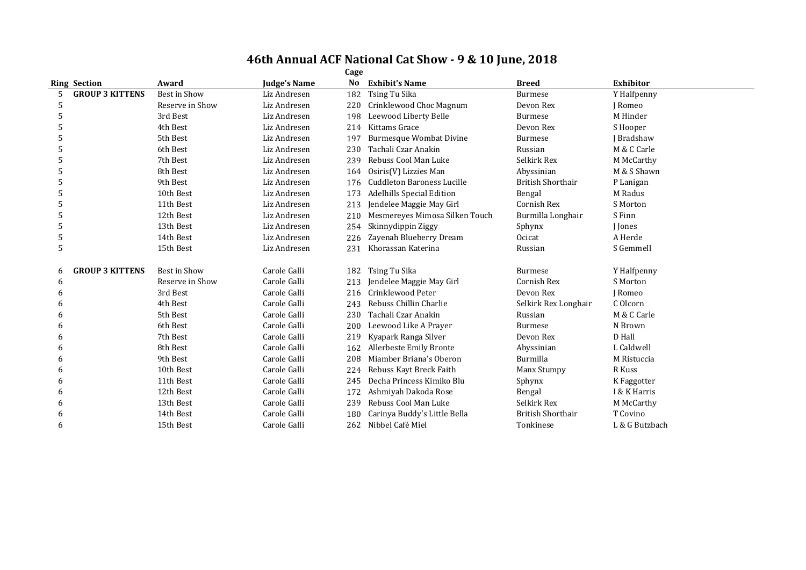|    |                        |                     |              | Cage |                                  |                          |                  |
|----|------------------------|---------------------|--------------|------|----------------------------------|--------------------------|------------------|
|    | <b>Ring Section</b>    | Award               | Judge's Name | No   | <b>Exhibit's Name</b>            | <b>Breed</b>             | <b>Exhibitor</b> |
| 5  | <b>GROUP 3 KITTENS</b> | Best in Show        | Liz Andresen | 182  | Tsing Tu Sika                    | <b>Burmese</b>           | Y Halfpenny      |
| 5  |                        | Reserve in Show     | Liz Andresen | 220  | Crinklewood Choc Magnum          | Devon Rex                | I Romeo          |
| 5  |                        | 3rd Best            | Liz Andresen | 198  | Leewood Liberty Belle            | <b>Burmese</b>           | M Hinder         |
| 5  |                        | 4th Best            | Liz Andresen | 214  | Kittams Grace                    | Devon Rex                | S Hooper         |
| .5 |                        | 5th Best            | Liz Andresen | 197  | <b>Burmesque Wombat Divine</b>   | <b>Burmese</b>           | J Bradshaw       |
|    |                        | 6th Best            | Liz Andresen | 230  | Tachali Czar Anakin              | Russian                  | M & C Carle      |
| 5  |                        | 7th Best            | Liz Andresen | 239  | Rebuss Cool Man Luke             | Selkirk Rex              | M McCarthy       |
| 5  |                        | 8th Best            | Liz Andresen | 164  | Osiris(V) Lizzies Man            | Abyssinian               | M & S Shawn      |
|    |                        | 9th Best            | Liz Andresen |      | 176 Cuddleton Baroness Lucille   | <b>British Shorthair</b> | P Lanigan        |
| 5  |                        | 10th Best           | Liz Andresen | 173  | <b>Adelhills Special Edition</b> | Bengal                   | M Radus          |
| 5  |                        | 11th Best           | Liz Andresen | 213  | Jendelee Maggie May Girl         | Cornish Rex              | S Morton         |
| 5  |                        | 12th Best           | Liz Andresen | 210  | Mesmereyes Mimosa Silken Touch   | Burmilla Longhair        | S Finn           |
| 5  |                        | 13th Best           | Liz Andresen | 254  | Skinnydippin Ziggy               | Sphynx                   | <b>I</b> Jones   |
| 5  |                        | 14th Best           | Liz Andresen | 226  | Zayenah Blueberry Dream          | Ocicat                   | A Herde          |
| 5  |                        | 15th Best           | Liz Andresen | 231  | Khorassan Katerina               | Russian                  | S Gemmell        |
| 6  | <b>GROUP 3 KITTENS</b> | <b>Best in Show</b> | Carole Galli | 182  | Tsing Tu Sika                    | <b>Burmese</b>           | Y Halfpenny      |
| 6  |                        | Reserve in Show     | Carole Galli | 213  | Jendelee Maggie May Girl         | Cornish Rex              | S Morton         |
| 6  |                        | 3rd Best            | Carole Galli | 216  | Crinklewood Peter                | Devon Rex                | J Romeo          |
| 6  |                        | 4th Best            | Carole Galli | 243  | Rebuss Chillin Charlie           | Selkirk Rex Longhair     | C Olcorn         |
| 6  |                        | 5th Best            | Carole Galli | 230  | Tachali Czar Anakin              | Russian                  | M & C Carle      |
| h  |                        | 6th Best            | Carole Galli | 200  | Leewood Like A Prayer            | <b>Burmese</b>           | N Brown          |
| 6  |                        | 7th Best            | Carole Galli | 219  | Kyapark Ranga Silver             | Devon Rex                | D Hall           |
| h  |                        | 8th Best            | Carole Galli | 162  | Allerbeste Emily Bronte          | Abyssinian               | L Caldwell       |
| 6  |                        | 9th Best            | Carole Galli | 208  | Miamber Briana's Oberon          | Burmilla                 | M Ristuccia      |
| h  |                        | 10th Best           | Carole Galli | 224  | Rebuss Kayt Breck Faith          | Manx Stumpy              | R Kuss           |
| 6  |                        | 11th Best           | Carole Galli | 245  | Decha Princess Kimiko Blu        | Sphynx                   | K Faggotter      |
| 6  |                        | 12th Best           | Carole Galli | 172  | Ashmiyah Dakoda Rose             | Bengal                   | I & K Harris     |
| h  |                        | 13th Best           | Carole Galli | 239  | Rebuss Cool Man Luke             | Selkirk Rex              | M McCarthy       |
| 6  |                        | 14th Best           | Carole Galli | 180  | Carinya Buddy's Little Bella     | <b>British Shorthair</b> | T Covino         |
| 6  |                        | 15th Best           | Carole Galli | 262  | Nibbel Café Miel                 | Tonkinese                | L & G Butzbach   |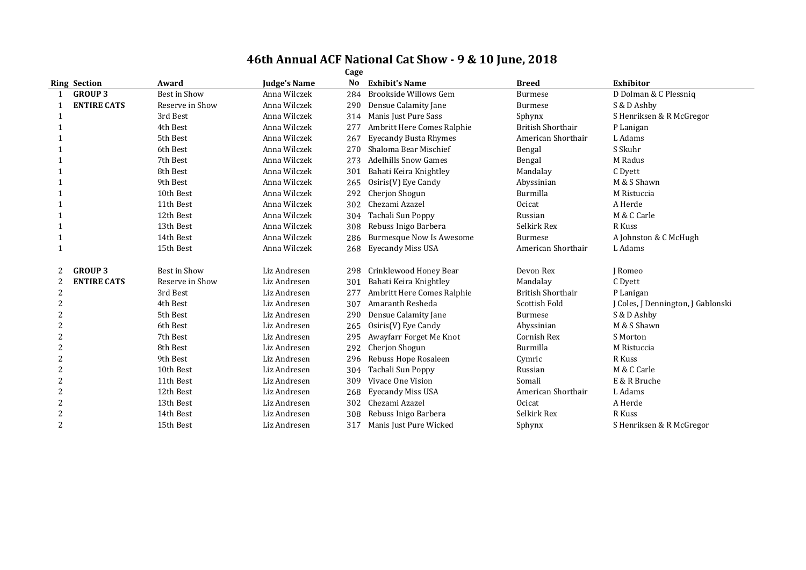|                | Cage                |                     |                     |     |                                 |                          |                                    |  |  |  |
|----------------|---------------------|---------------------|---------------------|-----|---------------------------------|--------------------------|------------------------------------|--|--|--|
|                | <b>Ring Section</b> | Award               | <b>Judge's Name</b> | No  | <b>Exhibit's Name</b>           | <b>Breed</b>             | Exhibitor                          |  |  |  |
|                | <b>GROUP 3</b>      | <b>Best in Show</b> | Anna Wilczek        | 284 | Brookside Willows Gem           | <b>Burmese</b>           | D Dolman & C Plessniq              |  |  |  |
|                | <b>ENTIRE CATS</b>  | Reserve in Show     | Anna Wilczek        | 290 | Densue Calamity Jane            | <b>Burmese</b>           | S & D Ashby                        |  |  |  |
| 1              |                     | 3rd Best            | Anna Wilczek        | 314 | Manis Just Pure Sass            | Sphynx                   | S Henriksen & R McGregor           |  |  |  |
|                |                     | 4th Best            | Anna Wilczek        | 277 | Ambritt Here Comes Ralphie      | <b>British Shorthair</b> | P Lanigan                          |  |  |  |
|                |                     | 5th Best            | Anna Wilczek        | 267 | <b>Eyecandy Busta Rhymes</b>    | American Shorthair       | L Adams                            |  |  |  |
|                |                     | 6th Best            | Anna Wilczek        | 270 | Shaloma Bear Mischief           | Bengal                   | S Skuhr                            |  |  |  |
|                |                     | 7th Best            | Anna Wilczek        | 273 | <b>Adelhills Snow Games</b>     | Bengal                   | M Radus                            |  |  |  |
|                |                     | 8th Best            | Anna Wilczek        | 301 | Bahati Keira Knightley          | Mandalay                 | C Dyett                            |  |  |  |
|                |                     | 9th Best            | Anna Wilczek        | 265 | Osiris(V) Eye Candy             | Abyssinian               | M & S Shawn                        |  |  |  |
|                |                     | 10th Best           | Anna Wilczek        | 292 | Cherjon Shogun                  | Burmilla                 | M Ristuccia                        |  |  |  |
|                |                     | 11th Best           | Anna Wilczek        | 302 | Chezami Azazel                  | Ocicat                   | A Herde                            |  |  |  |
| 1              |                     | 12th Best           | Anna Wilczek        | 304 | Tachali Sun Poppy               | Russian                  | M & C Carle                        |  |  |  |
|                |                     | 13th Best           | Anna Wilczek        | 308 | Rebuss Inigo Barbera            | Selkirk Rex              | R Kuss                             |  |  |  |
| 1              |                     | 14th Best           | Anna Wilczek        | 286 | <b>Burmesque Now Is Awesome</b> | <b>Burmese</b>           | A Johnston & C McHugh              |  |  |  |
| 1              |                     | 15th Best           | Anna Wilczek        | 268 | Eyecandy Miss USA               | American Shorthair       | L Adams                            |  |  |  |
| 2              | <b>GROUP 3</b>      | <b>Best in Show</b> | Liz Andresen        | 298 | Crinklewood Honey Bear          | Devon Rex                | I Romeo                            |  |  |  |
|                | <b>ENTIRE CATS</b>  | Reserve in Show     | Liz Andresen        | 301 | Bahati Keira Knightley          | Mandalay                 | C Dyett                            |  |  |  |
|                |                     | 3rd Best            | Liz Andresen        | 277 | Ambritt Here Comes Ralphie      | <b>British Shorthair</b> | P Lanigan                          |  |  |  |
|                |                     | 4th Best            | Liz Andresen        | 307 | Amaranth Resheda                | <b>Scottish Fold</b>     | J Coles, J Dennington, J Gablonski |  |  |  |
|                |                     | 5th Best            | Liz Andresen        | 290 | Densue Calamity Jane            | <b>Burmese</b>           | S & D Ashby                        |  |  |  |
|                |                     | 6th Best            | Liz Andresen        | 265 | Osiris(V) Eye Candy             | Abyssinian               | M & S Shawn                        |  |  |  |
|                |                     | 7th Best            | Liz Andresen        | 295 | Awayfarr Forget Me Knot         | Cornish Rex              | S Morton                           |  |  |  |
|                |                     | 8th Best            | Liz Andresen        | 292 | Cherjon Shogun                  | Burmilla                 | M Ristuccia                        |  |  |  |
|                |                     | 9th Best            | Liz Andresen        | 296 | Rebuss Hope Rosaleen            | Cymric                   | R Kuss                             |  |  |  |
| 2              |                     | 10th Best           | Liz Andresen        | 304 | Tachali Sun Poppy               | Russian                  | M & C Carle                        |  |  |  |
|                |                     | 11th Best           | Liz Andresen        | 309 | Vivace One Vision               | Somali                   | E & R Bruche                       |  |  |  |
| 2              |                     | 12th Best           | Liz Andresen        | 268 | <b>Eyecandy Miss USA</b>        | American Shorthair       | L Adams                            |  |  |  |
| 2              |                     | 13th Best           | Liz Andresen        | 302 | Chezami Azazel                  | Ocicat                   | A Herde                            |  |  |  |
|                |                     | 14th Best           | Liz Andresen        | 308 | Rebuss Inigo Barbera            | Selkirk Rex              | R Kuss                             |  |  |  |
| $\overline{2}$ |                     | 15th Best           | Liz Andresen        | 317 | Manis Just Pure Wicked          | Sphynx                   | S Henriksen & R McGregor           |  |  |  |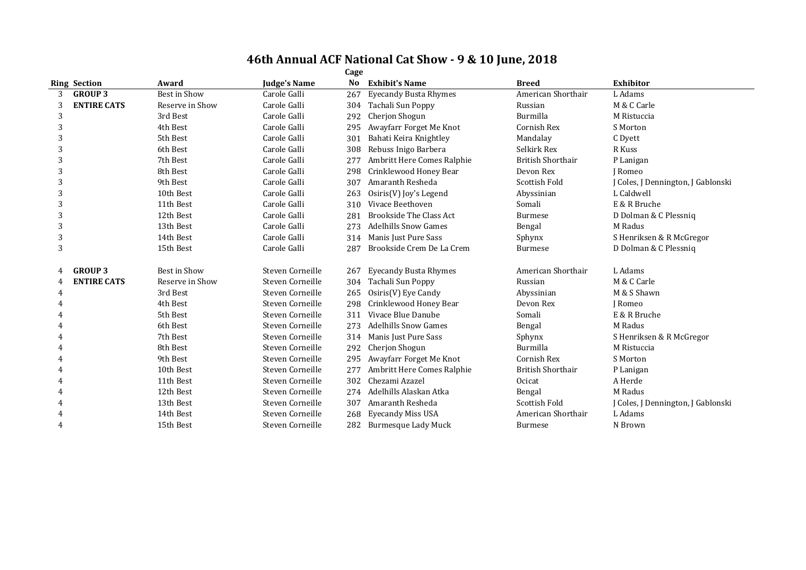| <b>Ring Section</b>     | Award               | <b>Judge's Name</b> | No  | <b>Exhibit's Name</b>          | <b>Breed</b>             | <b>Exhibitor</b>                   |
|-------------------------|---------------------|---------------------|-----|--------------------------------|--------------------------|------------------------------------|
| <b>GROUP 3</b><br>3     | Best in Show        | Carole Galli        | 267 | <b>Eyecandy Busta Rhymes</b>   | American Shorthair       | L Adams                            |
| <b>ENTIRE CATS</b><br>3 | Reserve in Show     | Carole Galli        | 304 | Tachali Sun Poppy              | Russian                  | M & C Carle                        |
| 3                       | 3rd Best            | Carole Galli        | 292 | Cherjon Shogun                 | Burmilla                 | M Ristuccia                        |
| 3                       | 4th Best            | Carole Galli        | 295 | Awayfarr Forget Me Knot        | Cornish Rex              | S Morton                           |
| 3                       | 5th Best            | Carole Galli        | 301 | Bahati Keira Knightley         | Mandalay                 | C Dyett                            |
| 3                       | 6th Best            | Carole Galli        | 308 | Rebuss Inigo Barbera           | Selkirk Rex              | R Kuss                             |
| 3                       | 7th Best            | Carole Galli        | 277 | Ambritt Here Comes Ralphie     | <b>British Shorthair</b> | P Lanigan                          |
| 3                       | 8th Best            | Carole Galli        | 298 | Crinklewood Honey Bear         | Devon Rex                | J Romeo                            |
| 3                       | 9th Best            | Carole Galli        | 307 | Amaranth Resheda               | Scottish Fold            | J Coles, J Dennington, J Gablonski |
| 3                       | 10th Best           | Carole Galli        | 263 | Osiris(V) Joy's Legend         | Abyssinian               | L Caldwell                         |
| 3                       | 11th Best           | Carole Galli        | 310 | Vivace Beethoven               | Somali                   | E & R Bruche                       |
| 3                       | 12th Best           | Carole Galli        | 281 | <b>Brookside The Class Act</b> | <b>Burmese</b>           | D Dolman & C Plessniq              |
| 3                       | 13th Best           | Carole Galli        | 273 | <b>Adelhills Snow Games</b>    | Bengal                   | M Radus                            |
| 3                       | 14th Best           | Carole Galli        | 314 | Manis Just Pure Sass           | Sphynx                   | S Henriksen & R McGregor           |
| 3                       | 15th Best           | Carole Galli        | 287 | Brookside Crem De La Crem      | <b>Burmese</b>           | D Dolman & C Plessniq              |
| <b>GROUP 3</b>          | <b>Best in Show</b> | Steven Corneille    | 267 | <b>Eyecandy Busta Rhymes</b>   | American Shorthair       | L Adams                            |
| <b>ENTIRE CATS</b>      | Reserve in Show     | Steven Corneille    | 304 | Tachali Sun Poppy              | Russian                  | M & C Carle                        |
|                         | 3rd Best            | Steven Corneille    | 265 | Osiris(V) Eye Candy            | Abyssinian               | M & S Shawn                        |
|                         | 4th Best            | Steven Corneille    | 298 | Crinklewood Honey Bear         | Devon Rex                | <b>I</b> Romeo                     |
|                         | 5th Best            | Steven Corneille    | 311 | Vivace Blue Danube             | Somali                   | E & R Bruche                       |
|                         | 6th Best            | Steven Corneille    | 273 | <b>Adelhills Snow Games</b>    | Bengal                   | M Radus                            |
| 4                       | 7th Best            | Steven Corneille    | 314 | Manis Just Pure Sass           | Sphynx                   | S Henriksen & R McGregor           |
|                         | 8th Best            | Steven Corneille    | 292 | Cherjon Shogun                 | Burmilla                 | M Ristuccia                        |
|                         | 9th Best            | Steven Corneille    | 295 | Awayfarr Forget Me Knot        | Cornish Rex              | S Morton                           |
|                         | 10th Best           | Steven Corneille    | 277 | Ambritt Here Comes Ralphie     | <b>British Shorthair</b> | P Lanigan                          |
|                         | 11th Best           | Steven Corneille    | 302 | Chezami Azazel                 | Ocicat                   | A Herde                            |
|                         | 12th Best           | Steven Corneille    | 274 | Adelhills Alaskan Atka         | Bengal                   | M Radus                            |
|                         | 13th Best           | Steven Corneille    | 307 | Amaranth Resheda               | Scottish Fold            | J Coles, J Dennington, J Gablonski |
|                         | 14th Best           | Steven Corneille    | 268 | <b>Eyecandy Miss USA</b>       | American Shorthair       | L Adams                            |
| 4                       | 15th Best           | Steven Corneille    |     | 282 Burmesque Lady Muck        | Burmese                  | N Brown                            |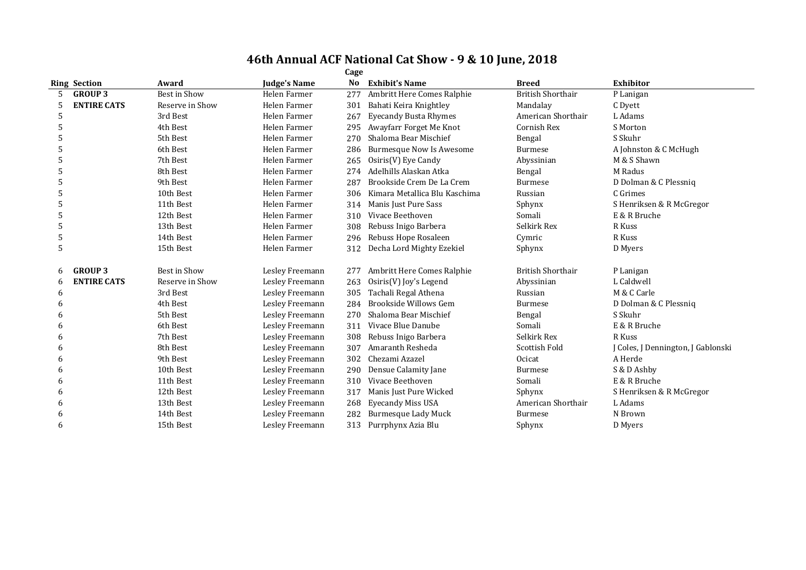|   |                     |                     |                 | Cage |                                 |                          |                                    |
|---|---------------------|---------------------|-----------------|------|---------------------------------|--------------------------|------------------------------------|
|   | <b>Ring Section</b> | Award               | Judge's Name    | No   | <b>Exhibit's Name</b>           | <b>Breed</b>             | <b>Exhibitor</b>                   |
|   | <b>GROUP 3</b>      | <b>Best in Show</b> | Helen Farmer    | 277  | Ambritt Here Comes Ralphie      | <b>British Shorthair</b> | P Lanigan                          |
|   | <b>ENTIRE CATS</b>  | Reserve in Show     | Helen Farmer    | 301  | Bahati Keira Knightley          | Mandalay                 | C Dyett                            |
| 5 |                     | 3rd Best            | Helen Farmer    | 267  | <b>Eyecandy Busta Rhymes</b>    | American Shorthair       | L Adams                            |
| 5 |                     | 4th Best            | Helen Farmer    | 295  | Awayfarr Forget Me Knot         | Cornish Rex              | S Morton                           |
| 5 |                     | 5th Best            | Helen Farmer    | 270  | Shaloma Bear Mischief           | Bengal                   | S Skuhr                            |
|   |                     | 6th Best            | Helen Farmer    | 286  | <b>Burmesque Now Is Awesome</b> | Burmese                  | A Johnston & C McHugh              |
|   |                     | 7th Best            | Helen Farmer    | 265  | Osiris(V) Eye Candy             | Abyssinian               | M & S Shawn                        |
|   |                     | 8th Best            | Helen Farmer    | 274  | Adelhills Alaskan Atka          | Bengal                   | M Radus                            |
|   |                     | 9th Best            | Helen Farmer    | 287  | Brookside Crem De La Crem       | <b>Burmese</b>           | D Dolman & C Plessniq              |
|   |                     | 10th Best           | Helen Farmer    | 306  | Kimara Metallica Blu Kaschima   | Russian                  | C Grimes                           |
| 5 |                     | 11th Best           | Helen Farmer    | 314  | Manis Just Pure Sass            | Sphynx                   | S Henriksen & R McGregor           |
|   |                     | 12th Best           | Helen Farmer    | 310  | Vivace Beethoven                | Somali                   | E & R Bruche                       |
|   |                     | 13th Best           | Helen Farmer    | 308  | Rebuss Inigo Barbera            | Selkirk Rex              | R Kuss                             |
| 5 |                     | 14th Best           | Helen Farmer    | 296  | Rebuss Hope Rosaleen            | Cymric                   | R Kuss                             |
| 5 |                     | 15th Best           | Helen Farmer    | 312  | Decha Lord Mighty Ezekiel       | Sphynx                   | D Myers                            |
| 6 | <b>GROUP 3</b>      | Best in Show        | Lesley Freemann | 277  | Ambritt Here Comes Ralphie      | <b>British Shorthair</b> | P Lanigan                          |
| 6 | <b>ENTIRE CATS</b>  | Reserve in Show     | Lesley Freemann | 263  | Osiris(V) Joy's Legend          | Abyssinian               | L Caldwell                         |
| 6 |                     | 3rd Best            | Lesley Freemann | 305  | Tachali Regal Athena            | Russian                  | M & C Carle                        |
| 6 |                     | 4th Best            | Lesley Freemann | 284  | Brookside Willows Gem           | <b>Burmese</b>           | D Dolman & C Plessniq              |
| 6 |                     | 5th Best            | Lesley Freemann | 270  | Shaloma Bear Mischief           | Bengal                   | S Skuhr                            |
| 6 |                     | 6th Best            | Lesley Freemann | 311  | Vivace Blue Danube              | Somali                   | E & R Bruche                       |
| 6 |                     | 7th Best            | Lesley Freemann | 308  | Rebuss Inigo Barbera            | Selkirk Rex              | R Kuss                             |
|   |                     | 8th Best            | Lesley Freemann | 307  | Amaranth Resheda                | Scottish Fold            | J Coles, J Dennington, J Gablonski |
| h |                     | 9th Best            | Lesley Freemann | 302  | Chezami Azazel                  | Ocicat                   | A Herde                            |
| h |                     | 10th Best           | Lesley Freemann | 290  | Densue Calamity Jane            | <b>Burmese</b>           | S & D Ashby                        |
|   |                     | 11th Best           | Lesley Freemann | 310  | Vivace Beethoven                | Somali                   | E & R Bruche                       |
| 6 |                     | 12th Best           | Lesley Freemann | 317  | Manis Just Pure Wicked          | Sphynx                   | S Henriksen & R McGregor           |
| h |                     | 13th Best           | Lesley Freemann | 268  | <b>Eyecandy Miss USA</b>        | American Shorthair       | L Adams                            |
| 6 |                     | 14th Best           | Lesley Freemann | 282  | <b>Burmesque Lady Muck</b>      | <b>Burmese</b>           | N Brown                            |
| 6 |                     | 15th Best           | Lesley Freemann | 313  | Purrphynx Azia Blu              | Sphynx                   | D Myers                            |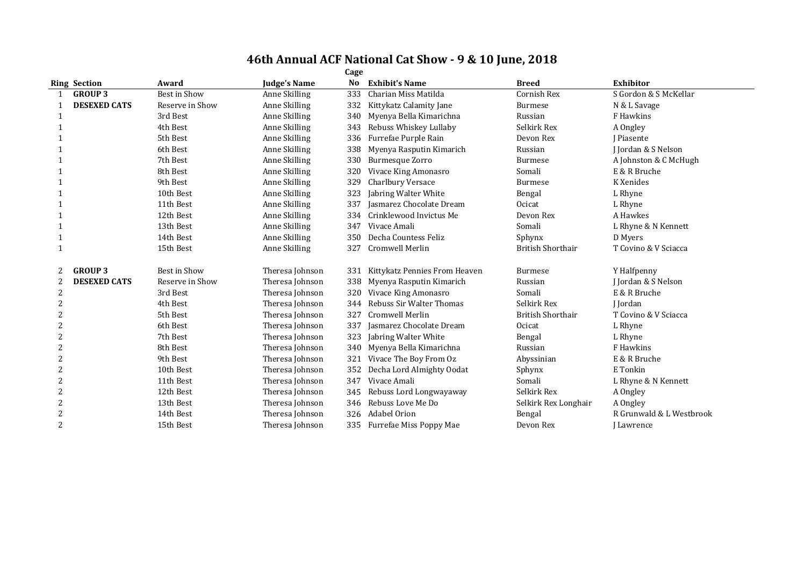|   | Cage                |                     |                     |     |                               |                          |                          |  |  |  |  |
|---|---------------------|---------------------|---------------------|-----|-------------------------------|--------------------------|--------------------------|--|--|--|--|
|   | <b>Ring Section</b> | Award               | <b>Judge's Name</b> | No  | <b>Exhibit's Name</b>         | <b>Breed</b>             | <b>Exhibitor</b>         |  |  |  |  |
|   | <b>GROUP 3</b>      | <b>Best in Show</b> | Anne Skilling       | 333 | Charian Miss Matilda          | Cornish Rex              | S Gordon & S McKellar    |  |  |  |  |
|   | <b>DESEXED CATS</b> | Reserve in Show     | Anne Skilling       | 332 | Kittykatz Calamity Jane       | <b>Burmese</b>           | N & L Savage             |  |  |  |  |
|   |                     | 3rd Best            | Anne Skilling       | 340 | Myenya Bella Kimarichna       | Russian                  | F Hawkins                |  |  |  |  |
|   |                     | 4th Best            | Anne Skilling       | 343 | Rebuss Whiskey Lullaby        | Selkirk Rex              | A Ongley                 |  |  |  |  |
|   |                     | 5th Best            | Anne Skilling       | 336 | Furrefae Purple Rain          | Devon Rex                | I Piasente               |  |  |  |  |
|   |                     | 6th Best            | Anne Skilling       | 338 | Myenya Rasputin Kimarich      | Russian                  | I Jordan & S Nelson      |  |  |  |  |
|   |                     | 7th Best            | Anne Skilling       | 330 | <b>Burmesque Zorro</b>        | <b>Burmese</b>           | A Johnston & C McHugh    |  |  |  |  |
|   |                     | 8th Best            | Anne Skilling       | 320 | Vivace King Amonasro          | Somali                   | E & R Bruche             |  |  |  |  |
|   |                     | 9th Best            | Anne Skilling       | 329 | Charlbury Versace             | <b>Burmese</b>           | K Xenides                |  |  |  |  |
|   |                     | 10th Best           | Anne Skilling       | 323 | Jabring Walter White          | Bengal                   | L Rhyne                  |  |  |  |  |
|   |                     | 11th Best           | Anne Skilling       | 337 | Jasmarez Chocolate Dream      | Ocicat                   | L Rhyne                  |  |  |  |  |
|   |                     | 12th Best           | Anne Skilling       | 334 | Crinklewood Invictus Me       | Devon Rex                | A Hawkes                 |  |  |  |  |
|   |                     | 13th Best           | Anne Skilling       | 347 | Vivace Amali                  | Somali                   | L Rhyne & N Kennett      |  |  |  |  |
|   |                     | 14th Best           | Anne Skilling       | 350 | Decha Countess Feliz          | Sphynx                   | D Myers                  |  |  |  |  |
|   |                     | 15th Best           | Anne Skilling       | 327 | <b>Cromwell Merlin</b>        | <b>British Shorthair</b> | T Covino & V Sciacca     |  |  |  |  |
| 2 | <b>GROUP 3</b>      | <b>Best in Show</b> | Theresa Johnson     | 331 | Kittykatz Pennies From Heaven | <b>Burmese</b>           | Y Halfpenny              |  |  |  |  |
| 2 | <b>DESEXED CATS</b> | Reserve in Show     | Theresa Johnson     | 338 | Myenya Rasputin Kimarich      | Russian                  | J Jordan & S Nelson      |  |  |  |  |
| 2 |                     | 3rd Best            | Theresa Johnson     | 320 | Vivace King Amonasro          | Somali                   | E & R Bruche             |  |  |  |  |
| 2 |                     | 4th Best            | Theresa Johnson     | 344 | Rebuss Sir Walter Thomas      | Selkirk Rex              | I Iordan                 |  |  |  |  |
| 2 |                     | 5th Best            | Theresa Johnson     | 327 | <b>Cromwell Merlin</b>        | <b>British Shorthair</b> | T Covino & V Sciacca     |  |  |  |  |
| 2 |                     | 6th Best            | Theresa Johnson     | 337 | Jasmarez Chocolate Dream      | Ocicat                   | L Rhyne                  |  |  |  |  |
|   |                     | 7th Best            | Theresa Johnson     | 323 | Jabring Walter White          | Bengal                   | L Rhyne                  |  |  |  |  |
| 2 |                     | 8th Best            | Theresa Johnson     | 340 | Myenya Bella Kimarichna       | Russian                  | F Hawkins                |  |  |  |  |
| 2 |                     | 9th Best            | Theresa Johnson     | 321 | Vivace The Boy From Oz        | Abyssinian               | E & R Bruche             |  |  |  |  |
| 2 |                     | 10th Best           | Theresa Johnson     | 352 | Decha Lord Almighty Oodat     | Sphynx                   | E Tonkin                 |  |  |  |  |
|   |                     | 11th Best           | Theresa Johnson     | 347 | Vivace Amali                  | Somali                   | L Rhyne & N Kennett      |  |  |  |  |
| 2 |                     | 12th Best           | Theresa Johnson     | 345 | Rebuss Lord Longwayaway       | Selkirk Rex              | A Ongley                 |  |  |  |  |
| 2 |                     | 13th Best           | Theresa Johnson     | 346 | Rebuss Love Me Do             | Selkirk Rex Longhair     | A Ongley                 |  |  |  |  |
|   |                     | 14th Best           | Theresa Johnson     | 326 | <b>Adabel Orion</b>           | Bengal                   | R Grunwald & L Westbrook |  |  |  |  |
| 2 |                     | 15th Best           | Theresa Johnson     |     | 335 Furrefae Miss Poppy Mae   | Devon Rex                | Lawrence                 |  |  |  |  |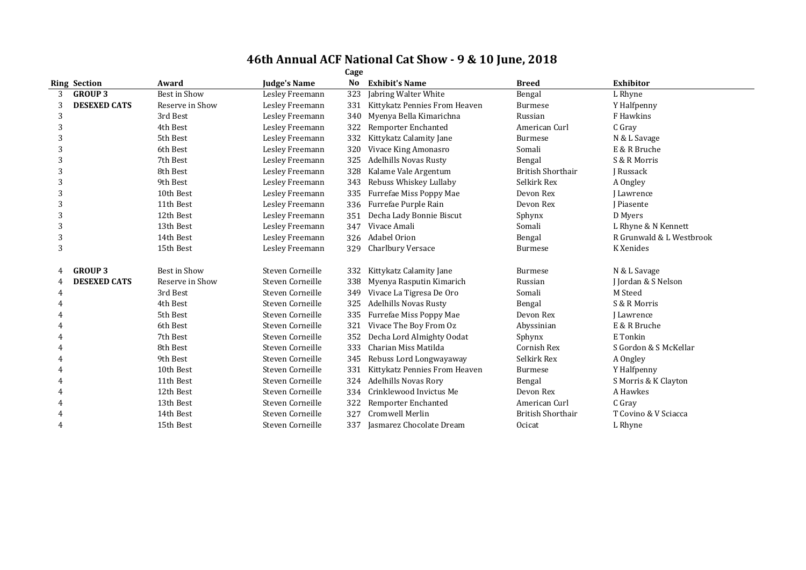|   | <b>Ring Section</b> | Award           | <b>Judge's Name</b> | No  | <b>Exhibit's Name</b>         | <b>Breed</b>             | <b>Exhibitor</b>         |
|---|---------------------|-----------------|---------------------|-----|-------------------------------|--------------------------|--------------------------|
| 3 | <b>GROUP 3</b>      | Best in Show    | Lesley Freemann     | 323 | Jabring Walter White          | Bengal                   | L Rhyne                  |
| 3 | <b>DESEXED CATS</b> | Reserve in Show | Lesley Freemann     | 331 | Kittykatz Pennies From Heaven | <b>Burmese</b>           | Y Halfpenny              |
| 3 |                     | 3rd Best        | Lesley Freemann     | 340 | Myenya Bella Kimarichna       | Russian                  | F Hawkins                |
| 3 |                     | 4th Best        | Lesley Freemann     | 322 | Remporter Enchanted           | American Curl            | C Gray                   |
|   |                     | 5th Best        | Lesley Freemann     | 332 | Kittykatz Calamity Jane       | <b>Burmese</b>           | N & L Savage             |
|   |                     | 6th Best        | Lesley Freemann     | 320 | Vivace King Amonasro          | Somali                   | E & R Bruche             |
| 3 |                     | 7th Best        | Lesley Freemann     | 325 | <b>Adelhills Novas Rusty</b>  | Bengal                   | S & R Morris             |
|   |                     | 8th Best        | Lesley Freemann     | 328 | Kalame Vale Argentum          | <b>British Shorthair</b> | J Russack                |
| 3 |                     | 9th Best        | Lesley Freemann     | 343 | Rebuss Whiskey Lullaby        | Selkirk Rex              | A Ongley                 |
| 3 |                     | 10th Best       | Lesley Freemann     | 335 | Furrefae Miss Poppy Mae       | Devon Rex                | J Lawrence               |
| 3 |                     | 11th Best       | Lesley Freemann     | 336 | Furrefae Purple Rain          | Devon Rex                | <b>I</b> Piasente        |
|   |                     | 12th Best       | Lesley Freemann     | 351 | Decha Lady Bonnie Biscut      | Sphynx                   | D Myers                  |
| 3 |                     | 13th Best       | Lesley Freemann     | 347 | Vivace Amali                  | Somali                   | L Rhyne & N Kennett      |
| 3 |                     | 14th Best       | Lesley Freemann     | 326 | <b>Adabel Orion</b>           | Bengal                   | R Grunwald & L Westbrook |
| 3 |                     | 15th Best       | Lesley Freemann     | 329 | <b>Charlbury Versace</b>      | <b>Burmese</b>           | K Xenides                |
|   | <b>GROUP 3</b>      | Best in Show    | Steven Corneille    | 332 | Kittykatz Calamity Jane       | <b>Burmese</b>           | N & L Savage             |
|   | <b>DESEXED CATS</b> | Reserve in Show | Steven Corneille    | 338 | Myenya Rasputin Kimarich      | Russian                  | J Jordan & S Nelson      |
| 4 |                     | 3rd Best        | Steven Corneille    | 349 | Vivace La Tigresa De Oro      | Somali                   | M Steed                  |
|   |                     | 4th Best        | Steven Corneille    | 325 | <b>Adelhills Novas Rusty</b>  | Bengal                   | S & R Morris             |
|   |                     | 5th Best        | Steven Corneille    | 335 | Furrefae Miss Poppy Mae       | Devon Rex                | Lawrence                 |
|   |                     | 6th Best        | Steven Corneille    | 321 | Vivace The Boy From Oz        | Abyssinian               | E & R Bruche             |
|   |                     | 7th Best        | Steven Corneille    | 352 | Decha Lord Almighty Oodat     | Sphynx                   | E Tonkin                 |
|   |                     | 8th Best        | Steven Corneille    | 333 | Charian Miss Matilda          | Cornish Rex              | S Gordon & S McKellar    |
|   |                     | 9th Best        | Steven Corneille    | 345 | Rebuss Lord Longwayaway       | Selkirk Rex              | A Ongley                 |
|   |                     | 10th Best       | Steven Corneille    | 331 | Kittykatz Pennies From Heaven | <b>Burmese</b>           | Y Halfpenny              |
|   |                     | 11th Best       | Steven Corneille    | 324 | <b>Adelhills Novas Rory</b>   | Bengal                   | S Morris & K Clayton     |
|   |                     | 12th Best       | Steven Corneille    | 334 | Crinklewood Invictus Me       | Devon Rex                | A Hawkes                 |
|   |                     | 13th Best       | Steven Corneille    | 322 | Remporter Enchanted           | American Curl            | C Gray                   |
|   |                     | 14th Best       | Steven Corneille    | 327 | Cromwell Merlin               | <b>British Shorthair</b> | T Covino & V Sciacca     |
| 4 |                     | 15th Best       | Steven Corneille    | 337 | Jasmarez Chocolate Dream      | Ocicat                   | L Rhyne                  |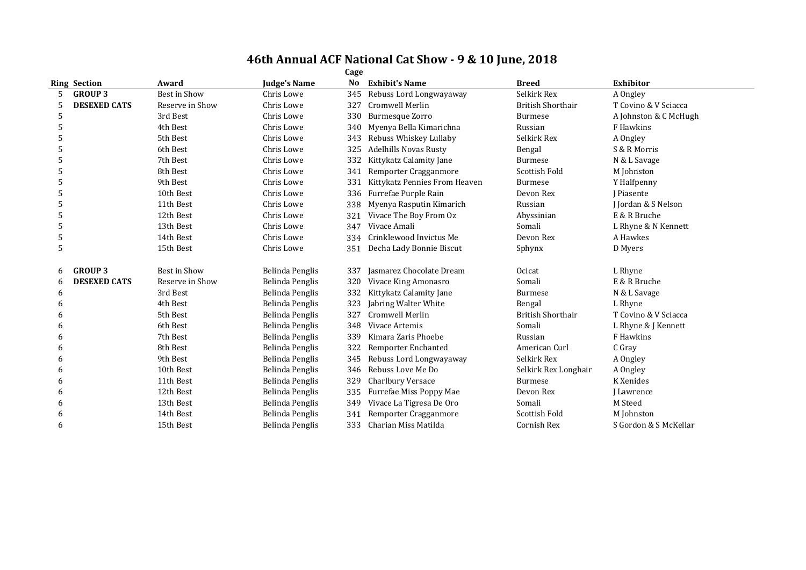|   |                     |                 |                     | Cage |                               |                          |                       |
|---|---------------------|-----------------|---------------------|------|-------------------------------|--------------------------|-----------------------|
|   | <b>Ring Section</b> | Award           | <b>Judge's Name</b> | No   | <b>Exhibit's Name</b>         | <b>Breed</b>             | <b>Exhibitor</b>      |
|   | <b>GROUP 3</b>      | Best in Show    | Chris Lowe          | 345  | Rebuss Lord Longwayaway       | Selkirk Rex              | A Ongley              |
| 5 | <b>DESEXED CATS</b> | Reserve in Show | Chris Lowe          | 327  | Cromwell Merlin               | <b>British Shorthair</b> | T Covino & V Sciacca  |
| 5 |                     | 3rd Best        | Chris Lowe          | 330  | <b>Burmesque Zorro</b>        | <b>Burmese</b>           | A Johnston & C McHugh |
| 5 |                     | 4th Best        | Chris Lowe          | 340  | Myenya Bella Kimarichna       | Russian                  | F Hawkins             |
|   |                     | 5th Best        | Chris Lowe          | 343  | Rebuss Whiskey Lullaby        | Selkirk Rex              | A Ongley              |
|   |                     | 6th Best        | Chris Lowe          | 325  | <b>Adelhills Novas Rusty</b>  | Bengal                   | S & R Morris          |
|   |                     | 7th Best        | Chris Lowe          | 332  | Kittykatz Calamity Jane       | <b>Burmese</b>           | N & L Savage          |
| 5 |                     | 8th Best        | Chris Lowe          | 341  | Remporter Cragganmore         | <b>Scottish Fold</b>     | M Johnston            |
|   |                     | 9th Best        | Chris Lowe          | 331  | Kittykatz Pennies From Heaven | <b>Burmese</b>           | Y Halfpenny           |
|   |                     | 10th Best       | Chris Lowe          | 336  | Furrefae Purple Rain          | Devon Rex                | I Piasente            |
| 5 |                     | 11th Best       | Chris Lowe          | 338  | Myenya Rasputin Kimarich      | Russian                  | J Jordan & S Nelson   |
| 5 |                     | 12th Best       | Chris Lowe          | 321  | Vivace The Boy From Oz        | Abyssinian               | E & R Bruche          |
|   |                     | 13th Best       | Chris Lowe          | 347  | Vivace Amali                  | Somali                   | L Rhyne & N Kennett   |
| 5 |                     | 14th Best       | Chris Lowe          | 334  | Crinklewood Invictus Me       | Devon Rex                | A Hawkes              |
| 5 |                     | 15th Best       | Chris Lowe          | 351  | Decha Lady Bonnie Biscut      | Sphynx                   | D Myers               |
| 6 | <b>GROUP 3</b>      | Best in Show    | Belinda Penglis     | 337  | Jasmarez Chocolate Dream      | Ocicat                   | L Rhyne               |
| 6 | <b>DESEXED CATS</b> | Reserve in Show | Belinda Penglis     | 320  | Vivace King Amonasro          | Somali                   | E & R Bruche          |
| 6 |                     | 3rd Best        | Belinda Penglis     | 332  | Kittykatz Calamity Jane       | <b>Burmese</b>           | N & L Savage          |
|   |                     | 4th Best        | Belinda Penglis     | 323  | Jabring Walter White          | Bengal                   | L Rhyne               |
|   |                     | 5th Best        | Belinda Penglis     | 327  | <b>Cromwell Merlin</b>        | <b>British Shorthair</b> | T Covino & V Sciacca  |
|   |                     | 6th Best        | Belinda Penglis     | 348  | Vivace Artemis                | Somali                   | L Rhyne & J Kennett   |
|   |                     | 7th Best        | Belinda Penglis     | 339  | Kimara Zaris Phoebe           | Russian                  | F Hawkins             |
|   |                     | 8th Best        | Belinda Penglis     | 322  | Remporter Enchanted           | American Curl            | C Gray                |
|   |                     | 9th Best        | Belinda Penglis     | 345  | Rebuss Lord Longwayaway       | Selkirk Rex              | A Ongley              |
|   |                     | 10th Best       | Belinda Penglis     | 346  | Rebuss Love Me Do             | Selkirk Rex Longhair     | A Ongley              |
|   |                     | 11th Best       | Belinda Penglis     | 329  | Charlbury Versace             | Burmese                  | K Xenides             |
|   |                     | 12th Best       | Belinda Penglis     | 335  | Furrefae Miss Poppy Mae       | Devon Rex                | I Lawrence            |
|   |                     | 13th Best       | Belinda Penglis     | 349  | Vivace La Tigresa De Oro      | Somali                   | M Steed               |
| h |                     | 14th Best       | Belinda Penglis     | 341  | Remporter Cragganmore         | <b>Scottish Fold</b>     | M Johnston            |
|   |                     | 15th Best       | Belinda Penglis     | 333  | Charian Miss Matilda          | Cornish Rex              | S Gordon & S McKellar |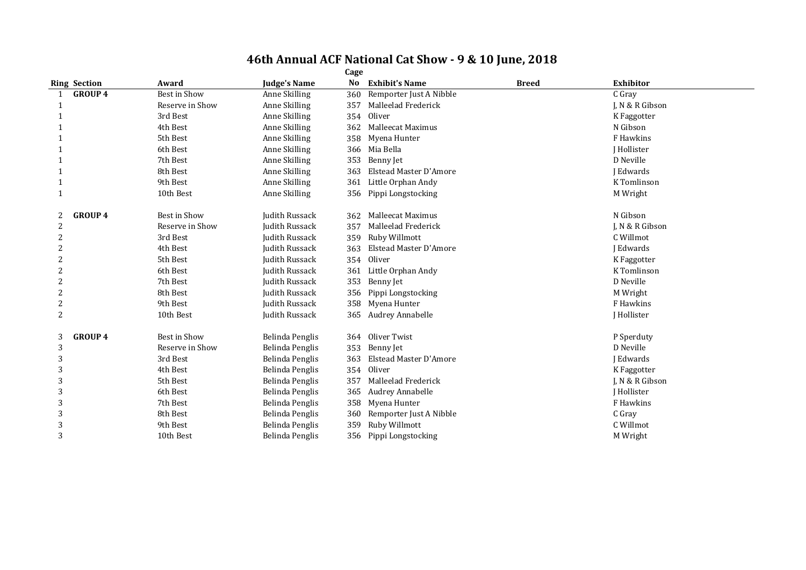|                | <b>Ring Section</b> | Award           | <b>Judge's Name</b> | No  | <b>Exhibit's Name</b>    | <b>Breed</b> | <b>Exhibitor</b>   |
|----------------|---------------------|-----------------|---------------------|-----|--------------------------|--------------|--------------------|
| $\mathbf{1}$   | <b>GROUP 4</b>      | Best in Show    | Anne Skilling       | 360 | Remporter Just A Nibble  |              | C Gray             |
| 1              |                     | Reserve in Show | Anne Skilling       | 357 | Malleelad Frederick      |              | J. N & R Gibson    |
|                |                     | 3rd Best        | Anne Skilling       |     | 354 Oliver               |              | K Faggotter        |
|                |                     | 4th Best        | Anne Skilling       | 362 | <b>Malleecat Maximus</b> |              | N Gibson           |
|                |                     | 5th Best        | Anne Skilling       | 358 | Myena Hunter             |              | F Hawkins          |
|                |                     | 6th Best        | Anne Skilling       |     | 366 Mia Bella            |              | <b>I</b> Hollister |
|                |                     | 7th Best        | Anne Skilling       | 353 | Benny Jet                |              | D Neville          |
|                |                     | 8th Best        | Anne Skilling       | 363 | Elstead Master D'Amore   |              | I Edwards          |
| -1             |                     | 9th Best        | Anne Skilling       | 361 | Little Orphan Andy       |              | K Tomlinson        |
| 1              |                     | 10th Best       | Anne Skilling       |     | 356 Pippi Longstocking   |              | M Wright           |
| 2              | <b>GROUP 4</b>      | Best in Show    | Judith Russack      | 362 | Malleecat Maximus        |              | N Gibson           |
| 2              |                     | Reserve in Show | Judith Russack      | 357 | Malleelad Frederick      |              | J, N & R Gibson    |
|                |                     | 3rd Best        | Judith Russack      | 359 | Ruby Willmott            |              | C Willmot          |
|                |                     | 4th Best        | Judith Russack      | 363 | Elstead Master D'Amore   |              | I Edwards          |
|                |                     | 5th Best        | Judith Russack      | 354 | Oliver                   |              | K Faggotter        |
| 2              |                     | 6th Best        | Judith Russack      | 361 | Little Orphan Andy       |              | K Tomlinson        |
|                |                     | 7th Best        | Judith Russack      |     | 353 Benny Jet            |              | D Neville          |
|                |                     | 8th Best        | Judith Russack      | 356 | Pippi Longstocking       |              | M Wright           |
|                |                     | 9th Best        | Judith Russack      | 358 | Myena Hunter             |              | F Hawkins          |
| $\overline{2}$ |                     | 10th Best       | Judith Russack      | 365 | Audrey Annabelle         |              | J Hollister        |
| 3              | <b>GROUP 4</b>      | Best in Show    | Belinda Penglis     |     | 364 Oliver Twist         |              | P Sperduty         |
| 3              |                     | Reserve in Show | Belinda Penglis     | 353 | Benny Jet                |              | D Neville          |
| 3              |                     | 3rd Best        | Belinda Penglis     | 363 | Elstead Master D'Amore   |              | J Edwards          |
| 3              |                     | 4th Best        | Belinda Penglis     |     | 354 Oliver               |              | K Faggotter        |
|                |                     | 5th Best        | Belinda Penglis     | 357 | Malleelad Frederick      |              | J. N & R Gibson    |
| 3              |                     | 6th Best        | Belinda Penglis     | 365 | <b>Audrey Annabelle</b>  |              | <b>I</b> Hollister |
| 3              |                     | 7th Best        | Belinda Penglis     | 358 | Myena Hunter             |              | F Hawkins          |
| 3              |                     | 8th Best        | Belinda Penglis     | 360 | Remporter Just A Nibble  |              | C Gray             |
|                |                     | 9th Best        | Belinda Penglis     | 359 | Ruby Willmott            |              | C Willmot          |
| 3              |                     | 10th Best       | Belinda Penglis     |     | 356 Pippi Longstocking   |              | M Wright           |